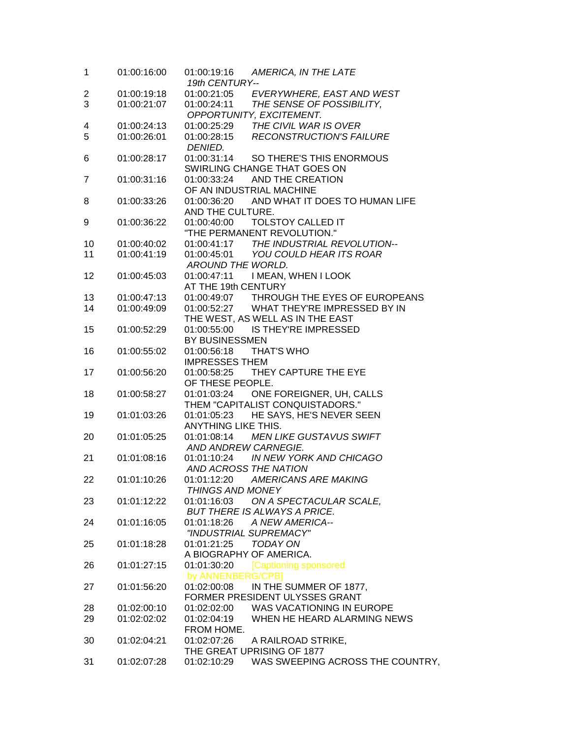| 1                       | 01:00:16:00 | 01:00:19:16<br>19th CENTURY-- | AMERICA, IN THE LATE                       |
|-------------------------|-------------|-------------------------------|--------------------------------------------|
| $\overline{\mathbf{c}}$ | 01:00:19:18 |                               | 01:00:21:05 EVERYWHERE, EAST AND WEST      |
| 3                       | 01:00:21:07 | 01:00:24:11                   | THE SENSE OF POSSIBILITY,                  |
|                         |             |                               | OPPORTUNITY, EXCITEMENT.                   |
| 4                       | 01:00:24:13 |                               | 01:00:25:29 THE CIVIL WAR IS OVER          |
| 5                       | 01:00:26:01 | 01:00:28:15                   | <b>RECONSTRUCTION'S FAILURE</b>            |
|                         |             | DENIED.                       |                                            |
| 6                       | 01:00:28:17 |                               | 01:00:31:14 SO THERE'S THIS ENORMOUS       |
|                         |             |                               | SWIRLING CHANGE THAT GOES ON               |
| 7                       | 01:00:31:16 | 01:00:33:24                   | AND THE CREATION                           |
|                         |             | OF AN INDUSTRIAL MACHINE      |                                            |
| 8                       | 01:00:33:26 |                               | 01:00:36:20 AND WHAT IT DOES TO HUMAN LIFE |
|                         |             | AND THE CULTURE.              |                                            |
| 9                       | 01:00:36:22 |                               |                                            |
|                         |             |                               | "THE PERMANENT REVOLUTION."                |
| 10                      | 01:00:40:02 |                               | 01:00:41:17 THE INDUSTRIAL REVOLUTION--    |
| 11                      | 01:00:41:19 |                               | 01:00:45:01 YOU COULD HEAR ITS ROAR        |
|                         |             | AROUND THE WORLD.             |                                            |
| 12                      | 01:00:45:03 | 01:00:47:11                   | I MEAN, WHEN I LOOK                        |
|                         |             | AT THE 19th CENTURY           |                                            |
| 13                      | 01:00:47:13 |                               | 01:00:49:07 THROUGH THE EYES OF EUROPEANS  |
| 14                      | 01:00:49:09 |                               | 01:00:52:27 WHAT THEY'RE IMPRESSED BY IN   |
|                         |             |                               | THE WEST, AS WELL AS IN THE EAST           |
| 15                      | 01:00:52:29 |                               | 01:00:55:00 IS THEY'RE IMPRESSED           |
|                         |             | BY BUSINESSMEN                |                                            |
| 16                      | 01:00:55:02 | 01:00:56:18                   | <b>THAT'S WHO</b>                          |
|                         |             | <b>IMPRESSES THEM</b>         |                                            |
| 17                      | 01:00:56:20 |                               | 01:00:58:25 THEY CAPTURE THE EYE           |
|                         |             | OF THESE PEOPLE.              |                                            |
| 18                      | 01:00:58:27 |                               | 01:01:03:24 ONE FOREIGNER, UH, CALLS       |
|                         |             |                               | THEM "CAPITALIST CONQUISTADORS."           |
| 19                      | 01:01:03:26 | 01:01:05:23                   | HE SAYS, HE'S NEVER SEEN                   |
|                         |             | ANYTHING LIKE THIS.           |                                            |
| 20                      | 01:01:05:25 |                               | 01:01:08:14 MEN LIKE GUSTAVUS SWIFT        |
|                         |             | AND ANDREW CARNEGIE.          |                                            |
| 21                      | 01:01:08:16 |                               | 01:01:10:24 IN NEW YORK AND CHICAGO        |
|                         |             | AND ACROSS THE NATION         |                                            |
| 22                      | 01:01:10:26 | 01:01:12:20                   | <b>AMERICANS ARE MAKING</b>                |
|                         |             | <b>THINGS AND MONEY</b>       |                                            |
| 23                      | 01:01:12:22 | 01:01:16:03                   | ON A SPECTACULAR SCALE,                    |
|                         |             |                               | <b>BUT THERE IS ALWAYS A PRICE.</b>        |
| 24                      | 01:01:16:05 | 01:01:18:26                   | A NEW AMERICA--                            |
|                         |             | "INDUSTRIAL SUPREMACY"        |                                            |
| 25                      | 01:01:18:28 | 01:01:21:25                   | TODAY ON                                   |
|                         |             | A BIOGRAPHY OF AMERICA.       |                                            |
| 26                      | 01:01:27:15 | 01:01:30:20                   | [Captioning sponsored                      |
|                         |             | by ANNENBERG/CPB]             |                                            |
| 27                      | 01:01:56:20 | 01:02:00:08                   | IN THE SUMMER OF 1877,                     |
|                         |             |                               | FORMER PRESIDENT ULYSSES GRANT             |
| 28                      | 01:02:00:10 | 01:02:02:00                   | WAS VACATIONING IN EUROPE                  |
| 29                      | 01:02:02:02 | 01:02:04:19                   | WHEN HE HEARD ALARMING NEWS                |
|                         |             | FROM HOME.                    |                                            |
| 30                      | 01:02:04:21 | 01:02:07:26                   | A RAILROAD STRIKE,                         |
|                         |             |                               | THE GREAT UPRISING OF 1877                 |
| 31                      | 01:02:07:28 | 01:02:10:29                   | WAS SWEEPING ACROSS THE COUNTRY,           |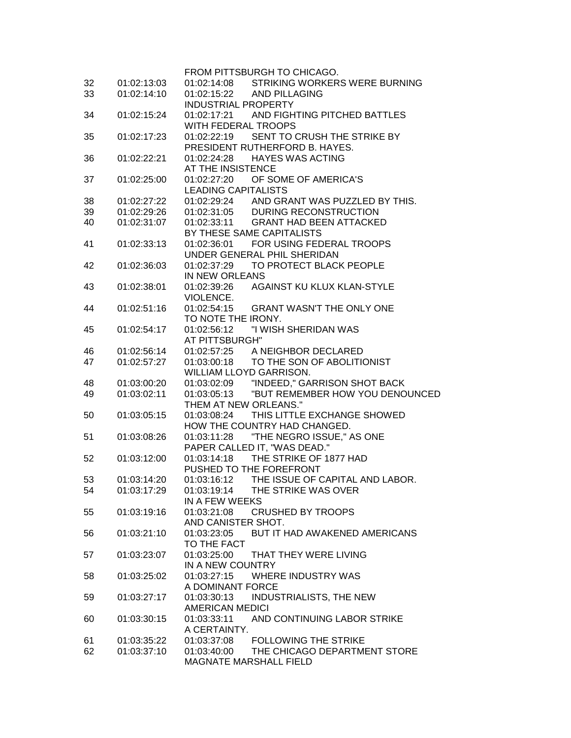|    |             | FROM PITTSBURGH TO CHICAGO.                         |
|----|-------------|-----------------------------------------------------|
| 32 | 01:02:13:03 | <b>STRIKING WORKERS WERE BURNING</b><br>01:02:14:08 |
| 33 | 01:02:14:10 | 01:02:15:22<br><b>AND PILLAGING</b>                 |
|    |             | <b>INDUSTRIAL PROPERTY</b>                          |
| 34 | 01:02:15:24 | AND FIGHTING PITCHED BATTLES<br>01:02:17:21         |
|    |             | <b>WITH FEDERAL TROOPS</b>                          |
| 35 | 01:02:17:23 | SENT TO CRUSH THE STRIKE BY<br>01:02:22:19          |
|    |             | PRESIDENT RUTHERFORD B. HAYES.                      |
| 36 | 01:02:22:21 | <b>HAYES WAS ACTING</b><br>01:02:24:28              |
|    |             | AT THE INSISTENCE                                   |
| 37 | 01:02:25:00 | OF SOME OF AMERICA'S<br>01:02:27:20                 |
|    |             | <b>LEADING CAPITALISTS</b>                          |
| 38 | 01:02:27:22 | AND GRANT WAS PUZZLED BY THIS.<br>01:02:29:24       |
| 39 | 01:02:29:26 | 01:02:31:05<br>DURING RECONSTRUCTION                |
| 40 | 01:02:31:07 | 01:02:33:11<br><b>GRANT HAD BEEN ATTACKED</b>       |
|    |             | BY THESE SAME CAPITALISTS                           |
| 41 | 01:02:33:13 | FOR USING FEDERAL TROOPS<br>01:02:36:01             |
|    |             | UNDER GENERAL PHIL SHERIDAN                         |
| 42 | 01:02:36:03 | TO PROTECT BLACK PEOPLE<br>01:02:37:29              |
|    |             | IN NEW ORLEANS                                      |
| 43 | 01:02:38:01 | AGAINST KU KLUX KLAN-STYLE<br>01:02:39:26           |
|    |             | VIOLENCE.                                           |
| 44 | 01:02:51:16 | 01:02:54:15<br><b>GRANT WASN'T THE ONLY ONE</b>     |
|    |             | TO NOTE THE IRONY.                                  |
| 45 | 01:02:54:17 | 01:02:56:12<br>"I WISH SHERIDAN WAS                 |
|    |             | AT PITTSBURGH"                                      |
| 46 | 01:02:56:14 | 01:02:57:25 A NEIGHBOR DECLARED                     |
| 47 | 01:02:57:27 | TO THE SON OF ABOLITIONIST<br>01:03:00:18           |
|    |             | WILLIAM LLOYD GARRISON.                             |
| 48 | 01:03:00:20 | "INDEED," GARRISON SHOT BACK<br>01:03:02:09         |
| 49 | 01:03:02:11 | "BUT REMEMBER HOW YOU DENOUNCED<br>01:03:05:13      |
|    |             | THEM AT NEW ORLEANS."                               |
| 50 | 01:03:05:15 | THIS LITTLE EXCHANGE SHOWED<br>01:03:08:24          |
|    |             | HOW THE COUNTRY HAD CHANGED.                        |
| 51 | 01:03:08:26 | "THE NEGRO ISSUE," AS ONE<br>01:03:11:28            |
|    |             | PAPER CALLED IT, "WAS DEAD."                        |
| 52 | 01:03:12:00 | THE STRIKE OF 1877 HAD<br>01:03:14:18               |
|    |             | PUSHED TO THE FOREFRONT                             |
| 53 | 01:03:14:20 | THE ISSUE OF CAPITAL AND LABOR.<br>01:03:16:12      |
| 54 | 01:03:17:29 | THE STRIKE WAS OVER<br>01:03:19:14                  |
|    |             | IN A FEW WEEKS                                      |
| 55 | 01:03:19:16 | <b>CRUSHED BY TROOPS</b><br>01:03:21:08             |
|    |             | AND CANISTER SHOT.                                  |
| 56 | 01:03:21:10 | 01:03:23:05<br>BUT IT HAD AWAKENED AMERICANS        |
|    |             | TO THE FACT                                         |
| 57 | 01:03:23:07 | 01:03:25:00<br>THAT THEY WERE LIVING                |
|    |             | IN A NEW COUNTRY                                    |
|    | 01:03:25:02 | 01:03:27:15<br><b>WHERE INDUSTRY WAS</b>            |
| 58 |             |                                                     |
|    |             | A DOMINANT FORCE                                    |
| 59 | 01:03:27:17 | 01:03:30:13<br><b>INDUSTRIALISTS, THE NEW</b>       |
|    |             | <b>AMERICAN MEDICI</b>                              |
| 60 | 01:03:30:15 | 01:03:33:11<br>AND CONTINUING LABOR STRIKE          |
|    |             | A CERTAINTY.                                        |
| 61 | 01:03:35:22 | 01:03:37:08<br><b>FOLLOWING THE STRIKE</b>          |
| 62 | 01:03:37:10 | 01:03:40:00<br>THE CHICAGO DEPARTMENT STORE         |
|    |             | <b>MAGNATE MARSHALL FIELD</b>                       |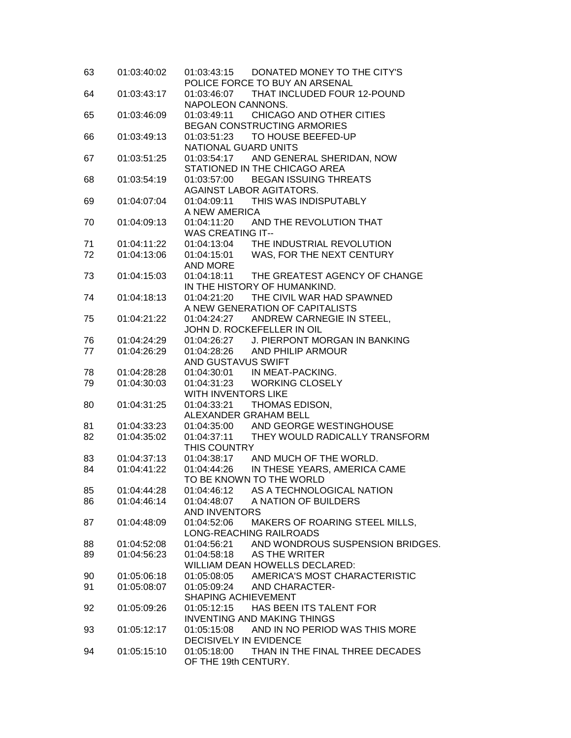| 63 | 01:03:40:02 | 01:03:43:15 DONATED MONEY TO THE CITY'S<br>POLICE FORCE TO BUY AN ARSENAL |
|----|-------------|---------------------------------------------------------------------------|
| 64 | 01:03:43:17 | 01:03:46:07 THAT INCLUDED FOUR 12-POUND                                   |
|    |             | NAPOLEON CANNONS.                                                         |
| 65 | 01:03:46:09 | CHICAGO AND OTHER CITIES<br>01:03:49:11                                   |
|    |             | BEGAN CONSTRUCTING ARMORIES                                               |
| 66 | 01:03:49:13 | TO HOUSE BEEFED-UP<br>01:03:51:23                                         |
|    |             | NATIONAL GUARD UNITS                                                      |
| 67 | 01:03:51:25 | 01:03:54:17 AND GENERAL SHERIDAN, NOW                                     |
|    |             | STATIONED IN THE CHICAGO AREA                                             |
| 68 | 01:03:54:19 | 01:03:57:00<br><b>BEGAN ISSUING THREATS</b>                               |
|    |             | AGAINST LABOR AGITATORS.                                                  |
| 69 | 01:04:07:04 | 01:04:09:11 THIS WAS INDISPUTABLY                                         |
|    |             | A NEW AMERICA                                                             |
| 70 | 01:04:09:13 | 01:04:11:20 AND THE REVOLUTION THAT                                       |
|    |             | <b>WAS CREATING IT--</b>                                                  |
| 71 | 01:04:11:22 | 01:04:13:04 THE INDUSTRIAL REVOLUTION                                     |
| 72 | 01:04:13:06 | 01:04:15:01 WAS, FOR THE NEXT CENTURY                                     |
|    |             | AND MORE                                                                  |
| 73 | 01:04:15:03 | 01:04:18:11<br>THE GREATEST AGENCY OF CHANGE                              |
|    |             | IN THE HISTORY OF HUMANKIND.<br>01:04:21:20<br>THE CIVIL WAR HAD SPAWNED  |
| 74 | 01:04:18:13 | A NEW GENERATION OF CAPITALISTS                                           |
| 75 | 01:04:21:22 | 01:04:24:27 ANDREW CARNEGIE IN STEEL,                                     |
|    |             | JOHN D. ROCKEFELLER IN OIL                                                |
| 76 | 01:04:24:29 | 01:04:26:27 J. PIERPONT MORGAN IN BANKING                                 |
| 77 | 01:04:26:29 | 01:04:28:26 AND PHILIP ARMOUR                                             |
|    |             | AND GUSTAVUS SWIFT                                                        |
| 78 | 01:04:28:28 | 01:04:30:01 IN MEAT-PACKING.                                              |
| 79 | 01:04:30:03 | 01:04:31:23 WORKING CLOSELY                                               |
|    |             | WITH INVENTORS LIKE                                                       |
| 80 | 01:04:31:25 | 01:04:33:21<br>THOMAS EDISON,                                             |
|    |             | ALEXANDER GRAHAM BELL                                                     |
| 81 | 01:04:33:23 | 01:04:35:00 AND GEORGE WESTINGHOUSE                                       |
| 82 | 01:04:35:02 | 01:04:37:11 THEY WOULD RADICALLY TRANSFORM                                |
|    |             | THIS COUNTRY                                                              |
| 83 | 01:04:37:13 | 01:04:38:17 AND MUCH OF THE WORLD.                                        |
| 84 | 01:04:41:22 | 01:04:44:26 IN THESE YEARS, AMERICA CAME                                  |
|    |             | TO BE KNOWN TO THE WORLD                                                  |
| 85 | 01:04:44:28 | AS A TECHNOLOGICAL NATION<br>01:04:46:12<br>A NATION OF BUILDERS          |
| 86 | 01:04:46:14 | 01:04:48:07<br><b>AND INVENTORS</b>                                       |
| 87 | 01:04:48:09 | MAKERS OF ROARING STEEL MILLS,<br>01:04:52:06                             |
|    |             | LONG-REACHING RAILROADS                                                   |
| 88 | 01:04:52:08 | AND WONDROUS SUSPENSION BRIDGES.<br>01:04:56:21                           |
| 89 | 01:04:56:23 | AS THE WRITER<br>01:04:58:18                                              |
|    |             | WILLIAM DEAN HOWELLS DECLARED:                                            |
| 90 | 01:05:06:18 | AMERICA'S MOST CHARACTERISTIC<br>01:05:08:05                              |
| 91 | 01:05:08:07 | 01:05:09:24<br><b>AND CHARACTER-</b>                                      |
|    |             | SHAPING ACHIEVEMENT                                                       |
| 92 | 01:05:09:26 | HAS BEEN ITS TALENT FOR<br>01:05:12:15                                    |
|    |             | <b>INVENTING AND MAKING THINGS</b>                                        |
| 93 | 01:05:12:17 | 01:05:15:08<br>AND IN NO PERIOD WAS THIS MORE                             |
|    |             | DECISIVELY IN EVIDENCE                                                    |
| 94 | 01:05:15:10 | 01:05:18:00<br>THAN IN THE FINAL THREE DECADES                            |
|    |             | OF THE 19th CENTURY.                                                      |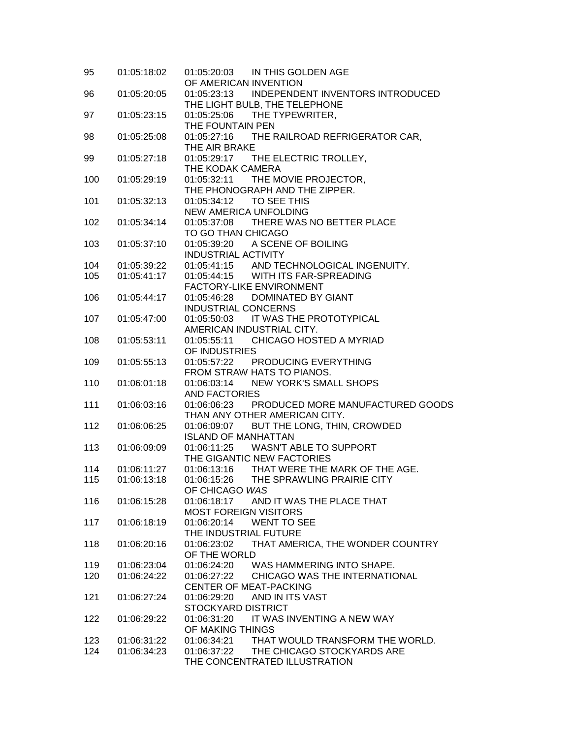| 95  | 01:05:18:02 | 01:05:20:03 IN THIS GOLDEN AGE<br>OF AMERICAN INVENTION                                                |
|-----|-------------|--------------------------------------------------------------------------------------------------------|
| 96  | 01:05:20:05 | 01:05:23:13 INDEPENDENT INVENTORS INTRODUCED<br>THE LIGHT BULB, THE TELEPHONE                          |
| 97  | 01:05:23:15 | THE TYPEWRITER,<br>01:05:25:06<br>THE FOUNTAIN PEN                                                     |
| 98  | 01:05:25:08 | 01:05:27:16 THE RAILROAD REFRIGERATOR CAR,<br>THE AIR BRAKE                                            |
| 99  | 01:05:27:18 | 01:05:29:17 THE ELECTRIC TROLLEY,<br>THE KODAK CAMERA                                                  |
| 100 | 01:05:29:19 | 01:05:32:11 THE MOVIE PROJECTOR,<br>THE PHONOGRAPH AND THE ZIPPER.                                     |
| 101 | 01:05:32:13 | <b>NEW AMERICA UNFOLDING</b>                                                                           |
| 102 | 01:05:34:14 | 01:05:37:08 THERE WAS NO BETTER PLACE<br>TO GO THAN CHICAGO                                            |
| 103 | 01:05:37:10 | 01:05:39:20 A SCENE OF BOILING<br><b>INDUSTRIAL ACTIVITY</b>                                           |
| 104 | 01:05:39:22 | 01:05:41:15 AND TECHNOLOGICAL INGENUITY.                                                               |
| 105 | 01:05:41:17 | 01:05:44:15 WITH ITS FAR-SPREADING<br>FACTORY-LIKE ENVIRONMENT                                         |
| 106 | 01:05:44:17 | 01:05:46:28<br>DOMINATED BY GIANT<br><b>INDUSTRIAL CONCERNS</b>                                        |
| 107 | 01:05:47:00 | 01:05:50:03 IT WAS THE PROTOTYPICAL<br>AMERICAN INDUSTRIAL CITY.                                       |
| 108 | 01:05:53:11 | 01:05:55:11 CHICAGO HOSTED A MYRIAD<br>OF INDUSTRIES                                                   |
| 109 | 01:05:55:13 | 01:05:57:22 PRODUCING EVERYTHING<br>FROM STRAW HATS TO PIANOS.                                         |
| 110 | 01:06:01:18 | <b>NEW YORK'S SMALL SHOPS</b><br>01:06:03:14<br><b>AND FACTORIES</b>                                   |
| 111 | 01:06:03:16 | 01:06:06:23 PRODUCED MORE MANUFACTURED GOODS<br>THAN ANY OTHER AMERICAN CITY.                          |
| 112 | 01:06:06:25 | 01:06:09:07<br>BUT THE LONG, THIN, CROWDED<br><b>ISLAND OF MANHATTAN</b>                               |
| 113 | 01:06:09:09 | 01:06:11:25 WASN'T ABLE TO SUPPORT<br>THE GIGANTIC NEW FACTORIES                                       |
| 114 | 01:06:11:27 |                                                                                                        |
| 115 | 01:06:13:18 | 01:06:13:16 THAT WERE THE MARK OF THE AGE.<br>01:06:15:26 THE SPRAWLING PRAIRIE CITY<br>OF CHICAGO WAS |
| 116 | 01:06:15:28 | 01:06:18:17<br>AND IT WAS THE PLACE THAT<br><b>MOST FOREIGN VISITORS</b>                               |
| 117 | 01:06:18:19 | 01:06:20:14<br><b>WENT TO SEE</b><br>THE INDUSTRIAL FUTURE                                             |
| 118 | 01:06:20:16 | THAT AMERICA, THE WONDER COUNTRY<br>01:06:23:02<br>OF THE WORLD                                        |
| 119 | 01:06:23:04 | 01:06:24:20 WAS HAMMERING INTO SHAPE.                                                                  |
| 120 | 01:06:24:22 | 01:06:27:22<br>CHICAGO WAS THE INTERNATIONAL                                                           |
|     |             | <b>CENTER OF MEAT-PACKING</b>                                                                          |
| 121 | 01:06:27:24 | 01:06:29:20<br>AND IN ITS VAST<br>STOCKYARD DISTRICT                                                   |
| 122 | 01:06:29:22 | IT WAS INVENTING A NEW WAY<br>01:06:31:20<br>OF MAKING THINGS                                          |
| 123 | 01:06:31:22 | 01:06:34:21<br>THAT WOULD TRANSFORM THE WORLD.                                                         |
| 124 | 01:06:34:23 | 01:06:37:22<br>THE CHICAGO STOCKYARDS ARE<br>THE CONCENTRATED ILLUSTRATION                             |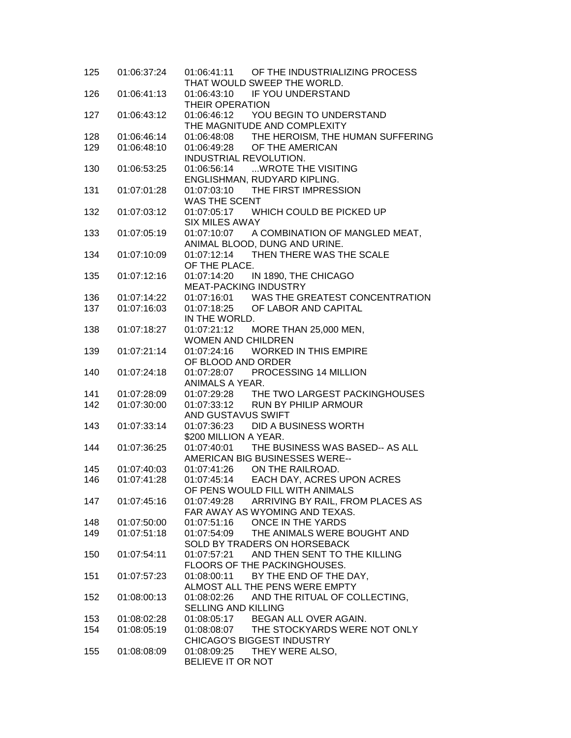| 125 | 01:06:37:24 | 01:06:41:11 OF THE INDUSTRIALIZING PROCESS<br>THAT WOULD SWEEP THE WORLD. |
|-----|-------------|---------------------------------------------------------------------------|
| 126 | 01:06:41:13 | 01:06:43:10 IF YOU UNDERSTAND                                             |
|     |             | <b>THEIR OPERATION</b>                                                    |
| 127 | 01:06:43:12 | 01:06:46:12 YOU BEGIN TO UNDERSTAND                                       |
|     |             | THE MAGNITUDE AND COMPLEXITY                                              |
| 128 | 01:06:46:14 | 01:06:48:08 THE HEROISM, THE HUMAN SUFFERING                              |
| 129 | 01:06:48:10 | OF THE AMERICAN<br>01:06:49:28                                            |
|     |             | INDUSTRIAL REVOLUTION.                                                    |
|     | 01:06:53:25 |                                                                           |
| 130 |             | 01:06:56:14  WROTE THE VISITING                                           |
|     |             | ENGLISHMAN, RUDYARD KIPLING.                                              |
| 131 | 01:07:01:28 | 01:07:03:10 THE FIRST IMPRESSION                                          |
|     |             | WAS THE SCENT                                                             |
| 132 | 01:07:03:12 | 01:07:05:17 WHICH COULD BE PICKED UP                                      |
|     |             | <b>SIX MILES AWAY</b>                                                     |
| 133 | 01:07:05:19 | 01:07:10:07 A COMBINATION OF MANGLED MEAT,                                |
|     |             | ANIMAL BLOOD, DUNG AND URINE.                                             |
| 134 | 01:07:10:09 | 01:07:12:14 THEN THERE WAS THE SCALE                                      |
|     |             | OF THE PLACE.                                                             |
| 135 | 01:07:12:16 | 01:07:14:20 IN 1890, THE CHICAGO                                          |
|     |             | <b>MEAT-PACKING INDUSTRY</b>                                              |
| 136 | 01:07:14:22 | 01:07:16:01 WAS THE GREATEST CONCENTRATION                                |
| 137 | 01:07:16:03 | 01:07:18:25 OF LABOR AND CAPITAL                                          |
|     |             | IN THE WORLD.                                                             |
| 138 | 01:07:18:27 | 01:07:21:12 MORE THAN 25,000 MEN,                                         |
|     |             | <b>WOMEN AND CHILDREN</b>                                                 |
| 139 | 01:07:21:14 | <b>WORKED IN THIS EMPIRE</b><br>01:07:24:16                               |
|     |             | OF BLOOD AND ORDER                                                        |
|     |             |                                                                           |
| 140 | 01:07:24:18 | 01:07:28:07<br>PROCESSING 14 MILLION                                      |
|     |             | ANIMALS A YEAR.                                                           |
| 141 | 01:07:28:09 | 01:07:29:28 THE TWO LARGEST PACKINGHOUSES                                 |
| 142 | 01:07:30:00 | 01:07:33:12 RUN BY PHILIP ARMOUR                                          |
|     |             | AND GUSTAVUS SWIFT                                                        |
| 143 | 01:07:33:14 | 01:07:36:23 DID A BUSINESS WORTH                                          |
|     |             | \$200 MILLION A YEAR.                                                     |
| 144 | 01:07:36:25 | 01:07:40:01 THE BUSINESS WAS BASED-- AS ALL                               |
|     |             | AMERICAN BIG BUSINESSES WERE--                                            |
| 145 | 01:07:40:03 | 01:07:41:26 ON THE RAILROAD.                                              |
| 146 | 01:07:41:28 | 01:07:45:14<br>EACH DAY, ACRES UPON ACRES                                 |
|     |             | OF PENS WOULD FILL WITH ANIMALS                                           |
| 147 | 01:07:45:16 | 01:07:49:28 ARRIVING BY RAIL, FROM PLACES AS                              |
|     |             | FAR AWAY AS WYOMING AND TEXAS.                                            |
| 148 | 01:07:50:00 | ONCE IN THE YARDS<br>01:07:51:16                                          |
| 149 | 01:07:51:18 | 01:07:54:09 THE ANIMALS WERE BOUGHT AND                                   |
|     |             | SOLD BY TRADERS ON HORSEBACK                                              |
| 150 | 01:07:54:11 | 01:07:57:21 AND THEN SENT TO THE KILLING                                  |
|     |             | FLOORS OF THE PACKINGHOUSES.                                              |
| 151 | 01:07:57:23 | 01:08:00:11 BY THE END OF THE DAY,                                        |
|     |             | ALMOST ALL THE PENS WERE EMPTY                                            |
|     |             |                                                                           |
| 152 | 01:08:00:13 | 01:08:02:26 AND THE RITUAL OF COLLECTING,                                 |
|     |             | <b>SELLING AND KILLING</b>                                                |
| 153 | 01:08:02:28 | 01:08:05:17 BEGAN ALL OVER AGAIN.                                         |
| 154 | 01:08:05:19 | 01:08:08:07 THE STOCKYARDS WERE NOT ONLY                                  |
|     |             | CHICAGO'S BIGGEST INDUSTRY                                                |
| 155 | 01:08:08:09 | 01:08:09:25 THEY WERE ALSO,                                               |
|     |             | BELIEVE IT OR NOT                                                         |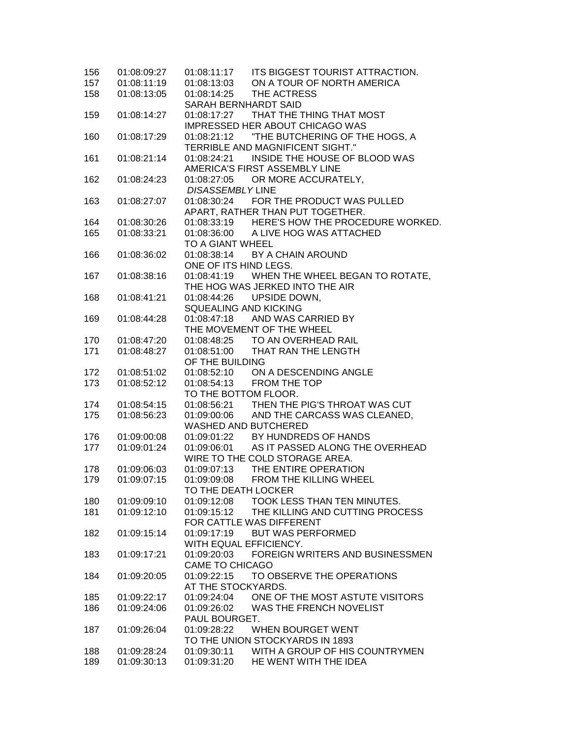| 156 | 01:08:09:27 | 01:08:11:17              | ITS BIGGEST TOURIST ATTRACTION.              |
|-----|-------------|--------------------------|----------------------------------------------|
| 157 | 01:08:11:19 | 01:08:13:03              | ON A TOUR OF NORTH AMERICA                   |
| 158 | 01:08:13:05 | 01:08:14:25              | THE ACTRESS                                  |
|     |             | SARAH BERNHARDT SAID     |                                              |
| 159 | 01:08:14:27 |                          | 01:08:17:27 THAT THE THING THAT MOST         |
|     |             |                          | <b>IMPRESSED HER ABOUT CHICAGO WAS</b>       |
| 160 | 01:08:17:29 |                          |                                              |
|     |             |                          | <b>TERRIBLE AND MAGNIFICENT SIGHT."</b>      |
| 161 | 01:08:21:14 | 01:08:24:21              | INSIDE THE HOUSE OF BLOOD WAS                |
|     |             |                          | AMERICA'S FIRST ASSEMBLY LINE                |
| 162 | 01:08:24:23 |                          | 01:08:27:05 OR MORE ACCURATELY,              |
|     |             | <b>DISASSEMBLY LINE</b>  |                                              |
| 163 | 01:08:27:07 |                          | 01:08:30:24 FOR THE PRODUCT WAS PULLED       |
|     |             |                          | APART, RATHER THAN PUT TOGETHER.             |
| 164 | 01:08:30:26 |                          | 01:08:33:19 HERE'S HOW THE PROCEDURE WORKED. |
| 165 | 01:08:33:21 |                          | 01:08:36:00 A LIVE HOG WAS ATTACHED          |
|     |             | TO A GIANT WHEEL         |                                              |
| 166 | 01:08:36:02 |                          | 01:08:38:14 BY A CHAIN AROUND                |
|     |             | ONE OF ITS HIND LEGS.    |                                              |
| 167 | 01:08:38:16 |                          | 01:08:41:19 WHEN THE WHEEL BEGAN TO ROTATE,  |
|     |             |                          | THE HOG WAS JERKED INTO THE AIR              |
| 168 | 01:08:41:21 | 01:08:44:26              | UPSIDE DOWN.                                 |
|     |             | SQUEALING AND KICKING    |                                              |
| 169 | 01:08:44:28 |                          | 01:08:47:18 AND WAS CARRIED BY               |
|     |             |                          | THE MOVEMENT OF THE WHEEL                    |
| 170 | 01:08:47:20 |                          | 01:08:48:25 TO AN OVERHEAD RAIL              |
| 171 | 01:08:48:27 | 01:08:51:00              | THAT RAN THE LENGTH                          |
|     |             | OF THE BUILDING          |                                              |
| 172 | 01:08:51:02 |                          | 01:08:52:10 ON A DESCENDING ANGLE            |
| 173 | 01:08:52:12 | 01:08:54:13 FROM THE TOP |                                              |
|     |             | TO THE BOTTOM FLOOR.     |                                              |
| 174 | 01:08:54:15 | 01:08:56:21              | THEN THE PIG'S THROAT WAS CUT                |
| 175 | 01:08:56:23 | 01:09:00:06              | AND THE CARCASS WAS CLEANED,                 |
|     |             | WASHED AND BUTCHERED     |                                              |
| 176 | 01:09:00:08 | 01:09:01:22              | BY HUNDREDS OF HANDS                         |
| 177 | 01:09:01:24 |                          | 01:09:06:01 AS IT PASSED ALONG THE OVERHEAD  |
|     |             |                          | WIRE TO THE COLD STORAGE AREA.               |
| 178 | 01:09:06:03 | 01:09:07:13              | THE ENTIRE OPERATION                         |
| 179 | 01:09:07:15 | 01:09:09:08              | FROM THE KILLING WHEEL                       |
|     |             | TO THE DEATH LOCKER      |                                              |
| 180 | 01:09:09:10 | 01:09:12:08              | <b>TOOK LESS THAN TEN MINUTES.</b>           |
| 181 | 01:09:12:10 | 01:09:15:12              | THE KILLING AND CUTTING PROCESS              |
|     |             | FOR CATTLE WAS DIFFERENT |                                              |
| 182 | 01:09:15:14 | 01:09:17:19              | <b>BUT WAS PERFORMED</b>                     |
|     |             | WITH EQUAL EFFICIENCY.   |                                              |
| 183 | 01:09:17:21 | 01:09:20:03              | FOREIGN WRITERS AND BUSINESSMEN              |
|     |             | CAME TO CHICAGO          |                                              |
| 184 | 01:09:20:05 | 01:09:22:15              | TO OBSERVE THE OPERATIONS                    |
|     |             | AT THE STOCKYARDS.       |                                              |
| 185 | 01:09:22:17 | 01:09:24:04              | ONE OF THE MOST ASTUTE VISITORS              |
| 186 | 01:09:24:06 | 01:09:26:02              | WAS THE FRENCH NOVELIST                      |
|     |             | PAUL BOURGET.            |                                              |
| 187 | 01:09:26:04 | 01:09:28:22              | WHEN BOURGET WENT                            |
|     |             |                          | TO THE UNION STOCKYARDS IN 1893              |
| 188 | 01:09:28:24 | 01:09:30:11              | WITH A GROUP OF HIS COUNTRYMEN               |
| 189 | 01:09:30:13 | 01:09:31:20              | HE WENT WITH THE IDEA                        |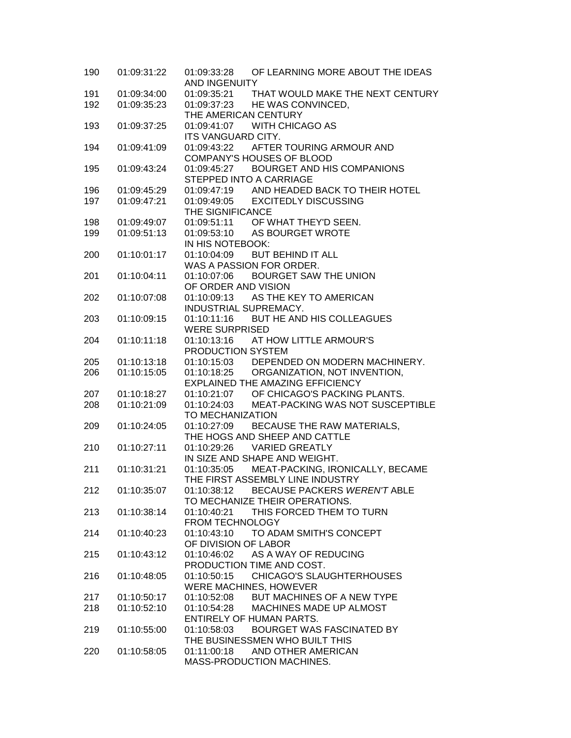| 190 | 01:09:31:22 | OF LEARNING MORE ABOUT THE IDEAS<br>01:09:33:28<br>AND INGENUITY     |
|-----|-------------|----------------------------------------------------------------------|
|     |             |                                                                      |
| 191 | 01:09:34:00 | 01:09:35:21 THAT WOULD MAKE THE NEXT CENTURY                         |
| 192 | 01:09:35:23 | 01:09:37:23 HE WAS CONVINCED,                                        |
|     |             | THE AMERICAN CENTURY                                                 |
| 193 | 01:09:37:25 | 01:09:41:07 WITH CHICAGO AS                                          |
|     |             | <b>ITS VANGUARD CITY.</b>                                            |
| 194 | 01:09:41:09 | 01:09:43:22 AFTER TOURING ARMOUR AND                                 |
|     |             | <b>COMPANY'S HOUSES OF BLOOD</b>                                     |
| 195 | 01:09:43:24 | 01:09:45:27 BOURGET AND HIS COMPANIONS                               |
|     |             | STEPPED INTO A CARRIAGE                                              |
| 196 | 01:09:45:29 | 01:09:47:19 AND HEADED BACK TO THEIR HOTEL                           |
| 197 | 01:09:47:21 | 01:09:49:05 EXCITEDLY DISCUSSING                                     |
|     |             | THE SIGNIFICANCE                                                     |
| 198 | 01:09:49:07 | 01:09:51:11 OF WHAT THEY'D SEEN.                                     |
| 199 | 01:09:51:13 | 01:09:53:10 AS BOURGET WROTE                                         |
|     |             | IN HIS NOTEBOOK:                                                     |
| 200 | 01:10:01:17 | 01:10:04:09 BUT BEHIND IT ALL                                        |
|     |             | WAS A PASSION FOR ORDER.                                             |
|     | 01:10:04:11 | 01:10:07:06 BOURGET SAW THE UNION                                    |
| 201 |             |                                                                      |
|     |             | OF ORDER AND VISION                                                  |
| 202 | 01:10:07:08 | 01:10:09:13 AS THE KEY TO AMERICAN                                   |
|     |             | INDUSTRIAL SUPREMACY.                                                |
| 203 | 01:10:09:15 | 01:10:11:16 BUT HE AND HIS COLLEAGUES                                |
|     |             | <b>WERE SURPRISED</b>                                                |
| 204 | 01:10:11:18 | 01:10:13:16 AT HOW LITTLE ARMOUR'S                                   |
|     |             | PRODUCTION SYSTEM                                                    |
| 205 | 01:10:13:18 | 01:10:15:03 DEPENDED ON MODERN MACHINERY.                            |
| 206 | 01:10:15:05 | 01:10:18:25 ORGANIZATION, NOT INVENTION,                             |
|     |             | EXPLAINED THE AMAZING EFFICIENCY                                     |
| 207 | 01:10:18:27 | 01:10:21:07 OF CHICAGO'S PACKING PLANTS.                             |
| 208 | 01:10:21:09 | 01:10:24:03 MEAT-PACKING WAS NOT SUSCEPTIBLE                         |
|     |             | TO MECHANIZATION                                                     |
| 209 | 01:10:24:05 | 01:10:27:09 BECAUSE THE RAW MATERIALS,                               |
|     |             | THE HOGS AND SHEEP AND CATTLE                                        |
| 210 | 01:10:27:11 | 01:10:29:26 VARIED GREATLY                                           |
|     |             | IN SIZE AND SHAPE AND WEIGHT.                                        |
|     | 01:10:31:21 | 01:10:35:05                                                          |
| 211 |             | MEAT-PACKING, IRONICALLY, BECAME<br>THE FIRST ASSEMBLY LINE INDUSTRY |
|     |             |                                                                      |
| 212 | 01:10:35:07 | 01:10:38:12<br>BECAUSE PACKERS WEREN'T ABLE                          |
|     |             | TO MECHANIZE THEIR OPERATIONS.                                       |
| 213 | 01:10:38:14 | THIS FORCED THEM TO TURN<br>01:10:40:21                              |
|     |             | FROM TECHNOLOGY                                                      |
| 214 | 01:10:40:23 | TO ADAM SMITH'S CONCEPT<br>01:10:43:10                               |
|     |             | OF DIVISION OF LABOR                                                 |
| 215 | 01:10:43:12 | 01:10:46:02 AS A WAY OF REDUCING                                     |
|     |             | PRODUCTION TIME AND COST.                                            |
| 216 | 01:10:48:05 | 01:10:50:15 CHICAGO'S SLAUGHTERHOUSES                                |
|     |             | WERE MACHINES, HOWEVER                                               |
| 217 | 01:10:50:17 | BUT MACHINES OF A NEW TYPE<br>01:10:52:08                            |
| 218 | 01:10:52:10 | MACHINES MADE UP ALMOST<br>01:10:54:28                               |
|     |             | <b>ENTIRELY OF HUMAN PARTS.</b>                                      |
| 219 | 01:10:55:00 | 01:10:58:03<br>BOURGET WAS FASCINATED BY                             |
|     |             | THE BUSINESSMEN WHO BUILT THIS                                       |
| 220 | 01:10:58:05 | 01:11:00:18<br>AND OTHER AMERICAN                                    |
|     |             | MASS-PRODUCTION MACHINES.                                            |
|     |             |                                                                      |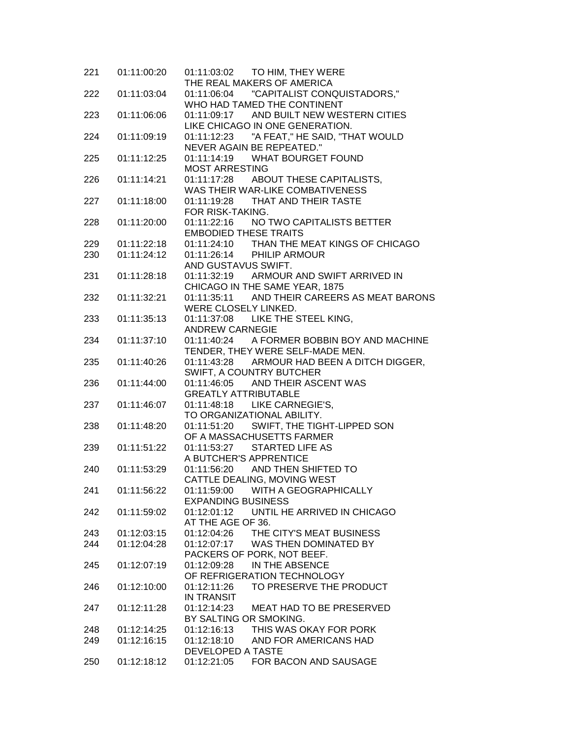| 221 | 01:11:00:20 |                                                                         |
|-----|-------------|-------------------------------------------------------------------------|
|     |             | THE REAL MAKERS OF AMERICA                                              |
| 222 | 01:11:03:04 | 01:11:06:04  "CAPITALIST CONQUISTADORS,"                                |
|     |             | WHO HAD TAMED THE CONTINENT                                             |
| 223 | 01:11:06:06 | 01:11:09:17 AND BUILT NEW WESTERN CITIES                                |
|     |             | LIKE CHICAGO IN ONE GENERATION.                                         |
| 224 | 01:11:09:19 | 01:11:12:23 "A FEAT," HE SAID, "THAT WOULD<br>NEVER AGAIN BE REPEATED." |
| 225 | 01:11:12:25 | 01:11:14:19 WHAT BOURGET FOUND                                          |
|     |             | <b>MOST ARRESTING</b>                                                   |
| 226 | 01:11:14:21 | 01:11:17:28 ABOUT THESE CAPITALISTS,                                    |
|     |             | WAS THEIR WAR-LIKE COMBATIVENESS                                        |
| 227 | 01:11:18:00 | 01:11:19:28 THAT AND THEIR TASTE                                        |
|     |             | FOR RISK-TAKING.                                                        |
| 228 | 01:11:20:00 | 01:11:22:16 NO TWO CAPITALISTS BETTER                                   |
|     |             | <b>EMBODIED THESE TRAITS</b>                                            |
| 229 | 01:11:22:18 | 01:11:24:10 THAN THE MEAT KINGS OF CHICAGO                              |
| 230 | 01:11:24:12 | 01:11:26:14 PHILIP ARMOUR                                               |
|     |             | AND GUSTAVUS SWIFT.                                                     |
| 231 | 01:11:28:18 | 01:11:32:19 ARMOUR AND SWIFT ARRIVED IN                                 |
|     |             | CHICAGO IN THE SAME YEAR, 1875                                          |
| 232 | 01:11:32:21 | 01:11:35:11 AND THEIR CAREERS AS MEAT BARONS                            |
|     |             | WERE CLOSELY LINKED.                                                    |
| 233 | 01:11:35:13 | 01:11:37:08 LIKE THE STEEL KING,                                        |
|     |             | <b>ANDREW CARNEGIE</b>                                                  |
| 234 | 01:11:37:10 | 01:11:40:24 A FORMER BOBBIN BOY AND MACHINE                             |
|     |             | TENDER, THEY WERE SELF-MADE MEN.                                        |
| 235 | 01:11:40:26 | 01:11:43:28 ARMOUR HAD BEEN A DITCH DIGGER,                             |
|     |             | SWIFT, A COUNTRY BUTCHER                                                |
| 236 | 01:11:44:00 | 01:11:46:05 AND THEIR ASCENT WAS                                        |
|     |             | <b>GREATLY ATTRIBUTABLE</b>                                             |
| 237 | 01:11:46:07 | 01:11:48:18 LIKE CARNEGIE'S,                                            |
|     |             | TO ORGANIZATIONAL ABILITY.                                              |
| 238 | 01:11:48:20 | 01:11:51:20 SWIFT, THE TIGHT-LIPPED SON                                 |
|     |             | OF A MASSACHUSETTS FARMER                                               |
| 239 | 01:11:51:22 | 01:11:53:27 STARTED LIFE AS                                             |
|     |             | A BUTCHER'S APPRENTICE                                                  |
| 240 | 01:11:53:29 | 01:11:56:20 AND THEN SHIFTED TO                                         |
|     |             | CATTLE DEALING, MOVING WEST                                             |
|     | 01:11:56:22 | 01:11:59:00<br>WITH A GEOGRAPHICALLY                                    |
| 241 |             |                                                                         |
|     |             | <b>EXPANDING BUSINESS</b>                                               |
| 242 | 01:11:59:02 | UNTIL HE ARRIVED IN CHICAGO<br>01:12:01:12                              |
|     |             | AT THE AGE OF 36.                                                       |
| 243 | 01:12:03:15 | 01:12:04:26<br>THE CITY'S MEAT BUSINESS                                 |
| 244 | 01:12:04:28 | 01:12:07:17 WAS THEN DOMINATED BY                                       |
|     |             | PACKERS OF PORK, NOT BEEF.                                              |
| 245 | 01:12:07:19 | 01:12:09:28 IN THE ABSENCE                                              |
|     |             | OF REFRIGERATION TECHNOLOGY                                             |
| 246 | 01:12:10:00 | TO PRESERVE THE PRODUCT<br>01:12:11:26                                  |
|     |             | IN TRANSIT                                                              |
| 247 | 01:12:11:28 | 01:12:14:23 MEAT HAD TO BE PRESERVED                                    |
|     |             | BY SALTING OR SMOKING.                                                  |
| 248 | 01:12:14:25 | THIS WAS OKAY FOR PORK<br>01:12:16:13                                   |
| 249 | 01:12:16:15 | 01:12:18:10 AND FOR AMERICANS HAD                                       |
|     |             | DEVELOPED A TASTE                                                       |
| 250 | 01:12:18:12 | 01:12:21:05<br>FOR BACON AND SAUSAGE                                    |
|     |             |                                                                         |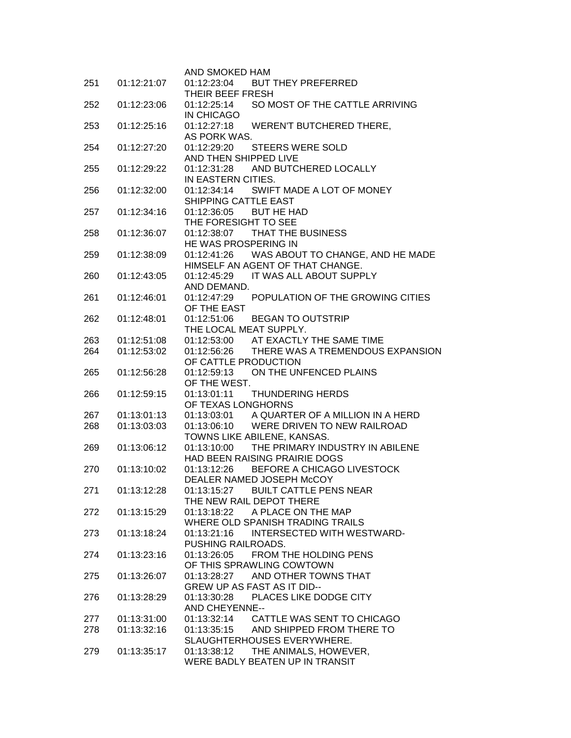|     |             | AND SMOKED HAM                                                                   |
|-----|-------------|----------------------------------------------------------------------------------|
| 251 | 01:12:21:07 | 01:12:23:04<br><b>BUT THEY PREFERRED</b>                                         |
|     |             | THEIR BEEF FRESH                                                                 |
| 252 | 01:12:23:06 | SO MOST OF THE CATTLE ARRIVING<br>01:12:25:14                                    |
|     |             | IN CHICAGO                                                                       |
| 253 | 01:12:25:16 | 01:12:27:18 WEREN'T BUTCHERED THERE,                                             |
|     |             | AS PORK WAS.                                                                     |
| 254 | 01:12:27:20 | 01:12:29:20 STEERS WERE SOLD                                                     |
| 255 | 01:12:29:22 | AND THEN SHIPPED LIVE<br>01:12:31:28 AND BUTCHERED LOCALLY                       |
|     |             | IN EASTERN CITIES.                                                               |
| 256 | 01:12:32:00 | SWIFT MADE A LOT OF MONEY<br>01:12:34:14                                         |
|     |             | <b>SHIPPING CATTLE EAST</b>                                                      |
| 257 | 01:12:34:16 | 01:12:36:05<br><b>BUT HE HAD</b>                                                 |
|     |             | THE FORESIGHT TO SEE                                                             |
| 258 | 01:12:36:07 | 01:12:38:07 THAT THE BUSINESS                                                    |
|     |             | HE WAS PROSPERING IN                                                             |
| 259 | 01:12:38:09 | 01:12:41:26 WAS ABOUT TO CHANGE, AND HE MADE<br>HIMSELF AN AGENT OF THAT CHANGE. |
| 260 | 01:12:43:05 | 01:12:45:29 IT WAS ALL ABOUT SUPPLY                                              |
|     |             | AND DEMAND.                                                                      |
| 261 | 01:12:46:01 | POPULATION OF THE GROWING CITIES<br>01:12:47:29                                  |
|     |             | OF THE EAST                                                                      |
| 262 | 01:12:48:01 | 01:12:51:06<br><b>BEGAN TO OUTSTRIP</b>                                          |
|     |             | THE LOCAL MEAT SUPPLY.                                                           |
| 263 | 01:12:51:08 | 01:12:53:00 AT EXACTLY THE SAME TIME                                             |
| 264 | 01:12:53:02 | THERE WAS A TREMENDOUS EXPANSION<br>01:12:56:26<br>OF CATTLE PRODUCTION          |
| 265 | 01:12:56:28 | ON THE UNFENCED PLAINS<br>01:12:59:13                                            |
|     |             | OF THE WEST.                                                                     |
| 266 | 01:12:59:15 | 01:13:01:11<br><b>THUNDERING HERDS</b>                                           |
|     |             | OF TEXAS LONGHORNS                                                               |
| 267 | 01:13:01:13 | 01:13:03:01 A QUARTER OF A MILLION IN A HERD                                     |
| 268 | 01:13:03:03 | 01:13:06:10 WERE DRIVEN TO NEW RAILROAD                                          |
|     |             | TOWNS LIKE ABILENE, KANSAS.                                                      |
| 269 | 01:13:06:12 | THE PRIMARY INDUSTRY IN ABILENE<br>01:13:10:00<br>HAD BEEN RAISING PRAIRIE DOGS  |
| 270 | 01:13:10:02 | 01:13:12:26 BEFORE A CHICAGO LIVESTOCK                                           |
|     |             | DEALER NAMED JOSEPH McCOY                                                        |
| 271 | 01:13:12:28 | 01:13:15:27 BUILT CATTLE PENS NEAR                                               |
|     |             | THE NEW RAIL DEPOT THERE                                                         |
| 272 | 01:13:15:29 | 01:13:18:22 A PLACE ON THE MAP                                                   |
|     |             | WHERE OLD SPANISH TRADING TRAILS                                                 |
| 273 | 01:13:18:24 | INTERSECTED WITH WESTWARD-<br>01:13:21:16                                        |
|     |             | PUSHING RAILROADS.                                                               |
| 274 | 01:13:23:16 | 01:13:26:05 FROM THE HOLDING PENS                                                |
|     |             | OF THIS SPRAWLING COWTOWN<br>01:13:28:27<br>AND OTHER TOWNS THAT                 |
| 275 | 01:13:26:07 | <b>GREW UP AS FAST AS IT DID--</b>                                               |
| 276 | 01:13:28:29 | PLACES LIKE DODGE CITY<br>01:13:30:28                                            |
|     |             | <b>AND CHEYENNE--</b>                                                            |
| 277 | 01:13:31:00 | 01:13:32:14 CATTLE WAS SENT TO CHICAGO                                           |
| 278 | 01:13:32:16 | 01:13:35:15 AND SHIPPED FROM THERE TO                                            |
|     |             | SLAUGHTERHOUSES EVERYWHERE.                                                      |
| 279 | 01:13:35:17 | THE ANIMALS, HOWEVER,<br>01:13:38:12                                             |
|     |             | WERE BADLY BEATEN UP IN TRANSIT                                                  |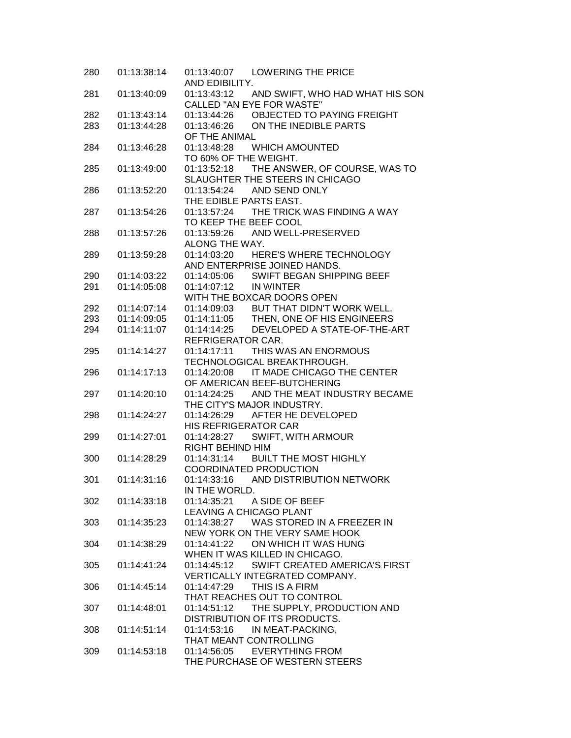| 280 | 01:13:38:14 | 01:13:40:07 LOWERING THE PRICE               |
|-----|-------------|----------------------------------------------|
|     |             | AND EDIBILITY.                               |
| 281 | 01:13:40:09 | 01:13:43:12 AND SWIFT, WHO HAD WHAT HIS SON  |
|     |             | CALLED "AN EYE FOR WASTE"                    |
| 282 | 01:13:43:14 | 01:13:44:26 OBJECTED TO PAYING FREIGHT       |
| 283 | 01:13:44:28 | 01:13:46:26<br>ON THE INEDIBLE PARTS         |
|     |             | OF THE ANIMAL                                |
| 284 | 01:13:46:28 | 01:13:48:28 WHICH AMOUNTED                   |
|     |             | TO 60% OF THE WEIGHT.                        |
| 285 | 01:13:49:00 | THE ANSWER, OF COURSE, WAS TO<br>01:13:52:18 |
|     |             | SLAUGHTER THE STEERS IN CHICAGO              |
| 286 | 01:13:52:20 | 01:13:54:24<br>AND SEND ONLY                 |
|     |             | THE EDIBLE PARTS EAST.                       |
| 287 | 01:13:54:26 | 01:13:57:24 THE TRICK WAS FINDING A WAY      |
|     |             | TO KEEP THE BEEF COOL                        |
| 288 | 01:13:57:26 | 01:13:59:26 AND WELL-PRESERVED               |
|     |             | ALONG THE WAY.                               |
| 289 | 01:13:59:28 | 01:14:03:20<br>HERE'S WHERE TECHNOLOGY       |
|     |             | AND ENTERPRISE JOINED HANDS.                 |
| 290 | 01:14:03:22 | 01:14:05:06 SWIFT BEGAN SHIPPING BEEF        |
| 291 | 01:14:05:08 | 01:14:07:12 IN WINTER                        |
|     |             | WITH THE BOXCAR DOORS OPEN                   |
| 292 | 01:14:07:14 | 01:14:09:03 BUT THAT DIDN'T WORK WELL.       |
| 293 | 01:14:09:05 | 01:14:11:05 THEN, ONE OF HIS ENGINEERS       |
| 294 | 01:14:11:07 | 01:14:14:25 DEVELOPED A STATE-OF-THE-ART     |
|     |             | REFRIGERATOR CAR.                            |
| 295 | 01:14:14:27 | THIS WAS AN ENORMOUS<br>01:14:17:11          |
|     |             | TECHNOLOGICAL BREAKTHROUGH.                  |
| 296 | 01:14:17:13 | IT MADE CHICAGO THE CENTER<br>01:14:20:08    |
|     |             | OF AMERICAN BEEF-BUTCHERING                  |
| 297 | 01:14:20:10 | 01:14:24:25<br>AND THE MEAT INDUSTRY BECAME  |
|     |             | THE CITY'S MAJOR INDUSTRY.                   |
| 298 | 01:14:24:27 | AFTER HE DEVELOPED<br>01:14:26:29            |
|     |             | HIS REFRIGERATOR CAR                         |
|     | 01:14:27:01 | 01:14:28:27                                  |
| 299 |             | SWIFT, WITH ARMOUR                           |
|     |             | RIGHT BEHIND HIM                             |
| 300 | 01:14:28:29 | 01:14:31:14<br><b>BUILT THE MOST HIGHLY</b>  |
|     |             | <b>COORDINATED PRODUCTION</b>                |
| 301 | 01:14:31:16 | 01:14:33:16<br>AND DISTRIBUTION NETWORK      |
|     |             | IN THE WORLD.                                |
| 302 | 01:14:33:18 | 01:14:35:21<br>A SIDE OF BEEF                |
|     |             | LEAVING A CHICAGO PLANT                      |
| 303 | 01:14:35:23 | WAS STORED IN A FREEZER IN<br>01:14:38:27    |
|     |             | NEW YORK ON THE VERY SAME HOOK               |
| 304 | 01:14:38:29 | 01:14:41:22<br>ON WHICH IT WAS HUNG          |
|     |             | WHEN IT WAS KILLED IN CHICAGO.               |
| 305 | 01:14:41:24 | 01:14:45:12<br>SWIFT CREATED AMERICA'S FIRST |
|     |             | <b>VERTICALLY INTEGRATED COMPANY.</b>        |
| 306 | 01:14:45:14 | THIS IS A FIRM<br>01:14:47:29                |
|     |             | THAT REACHES OUT TO CONTROL                  |
| 307 | 01:14:48:01 | THE SUPPLY, PRODUCTION AND<br>01:14:51:12    |
|     |             | DISTRIBUTION OF ITS PRODUCTS.                |
| 308 | 01:14:51:14 | 01:14:53:16<br>IN MEAT-PACKING,              |
|     |             | THAT MEANT CONTROLLING                       |
| 309 | 01:14:53:18 | 01:14:56:05 EVERYTHING FROM                  |
|     |             | THE PURCHASE OF WESTERN STEERS               |
|     |             |                                              |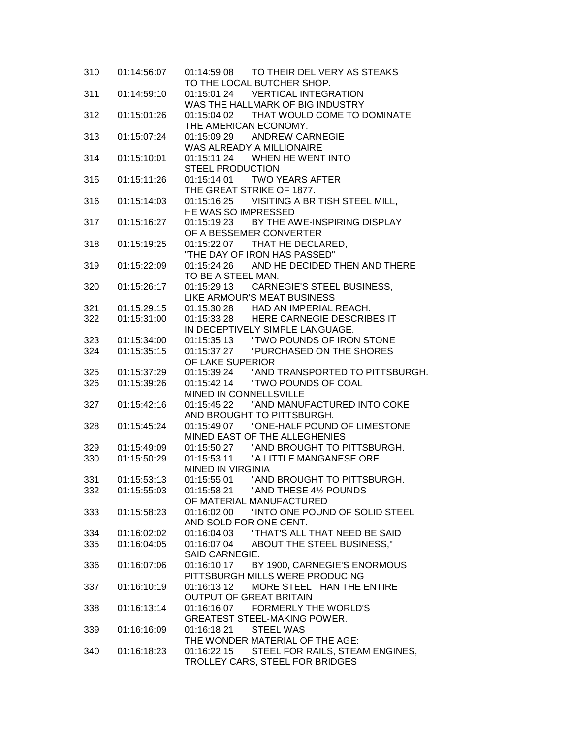| 310 | 01:14:56:07 | 01:14:59:08 TO THEIR DELIVERY AS STEAKS                                      |
|-----|-------------|------------------------------------------------------------------------------|
|     |             | TO THE LOCAL BUTCHER SHOP.                                                   |
| 311 | 01:14:59:10 | 01:15:01:24 VERTICAL INTEGRATION                                             |
|     |             | WAS THE HALLMARK OF BIG INDUSTRY                                             |
| 312 | 01:15:01:26 | 01:15:04:02 THAT WOULD COME TO DOMINATE                                      |
|     |             | THE AMERICAN ECONOMY.                                                        |
| 313 | 01:15:07:24 | 01:15:09:29 ANDREW CARNEGIE                                                  |
|     |             | WAS ALREADY A MILLIONAIRE                                                    |
| 314 | 01:15:10:01 | 01:15:11:24 WHEN HE WENT INTO                                                |
|     |             | <b>STEEL PRODUCTION</b>                                                      |
| 315 | 01:15:11:26 | 01:15:14:01 TWO YEARS AFTER                                                  |
|     |             | THE GREAT STRIKE OF 1877.                                                    |
| 316 | 01:15:14:03 | 01:15:16:25 VISITING A BRITISH STEEL MILL,<br>HE WAS SO IMPRESSED            |
|     |             | 01:15:19:23 BY THE AWE-INSPIRING DISPLAY                                     |
| 317 | 01:15:16:27 | OF A BESSEMER CONVERTER                                                      |
|     |             | 01:15:22:07 THAT HE DECLARED,                                                |
| 318 | 01:15:19:25 | "THE DAY OF IRON HAS PASSED"                                                 |
| 319 | 01:15:22:09 | 01:15:24:26 AND HE DECIDED THEN AND THERE                                    |
|     |             | TO BE A STEEL MAN.                                                           |
| 320 | 01:15:26:17 | 01:15:29:13 CARNEGIE'S STEEL BUSINESS,                                       |
|     |             | LIKE ARMOUR'S MEAT BUSINESS                                                  |
| 321 | 01:15:29:15 |                                                                              |
| 322 | 01:15:31:00 | 01:15:30:28 HAD AN IMPERIAL REACH.<br>01:15:33:28 HERE CARNEGIE DESCRIBES IT |
|     |             | IN DECEPTIVELY SIMPLE LANGUAGE.                                              |
| 323 | 01:15:34:00 |                                                                              |
| 324 | 01:15:35:15 |                                                                              |
|     |             | OF LAKE SUPERIOR                                                             |
| 325 | 01:15:37:29 | 01:15:39:24 "AND TRANSPORTED TO PITTSBURGH.                                  |
| 326 | 01:15:39:26 |                                                                              |
|     |             | MINED IN CONNELLSVILLE                                                       |
| 327 | 01:15:42:16 |                                                                              |
|     |             | AND BROUGHT TO PITTSBURGH.                                                   |
| 328 | 01:15:45:24 |                                                                              |
|     |             | MINED EAST OF THE ALLEGHENIES                                                |
| 329 | 01:15:49:09 | 01:15:50:27 "AND BROUGHT TO PITTSBURGH.                                      |
| 330 | 01:15:50:29 | 01:15:53:11 "A LITTLE MANGANESE ORE                                          |
|     |             | <b>MINED IN VIRGINIA</b>                                                     |
| 331 | 01:15:53:13 | 01:15:55:01 "AND BROUGHT TO PITTSBURGH.                                      |
| 332 | 01:15:55:03 | 01:15:58:21<br>"AND THESE 41/2 POUNDS                                        |
|     |             | OF MATERIAL MANUFACTURED                                                     |
| 333 | 01:15:58:23 | "INTO ONE POUND OF SOLID STEEL<br>01:16:02:00                                |
|     |             | AND SOLD FOR ONE CENT.                                                       |
| 334 | 01:16:02:02 |                                                                              |
| 335 | 01:16:04:05 | 01:16:07:04 ABOUT THE STEEL BUSINESS,"                                       |
|     |             | SAID CARNEGIE.                                                               |
| 336 | 01:16:07:06 | 01:16:10:17 BY 1900, CARNEGIE'S ENORMOUS                                     |
|     |             | PITTSBURGH MILLS WERE PRODUCING                                              |
| 337 | 01:16:10:19 | 01:16:13:12 MORE STEEL THAN THE ENTIRE                                       |
|     |             | <b>OUTPUT OF GREAT BRITAIN</b>                                               |
| 338 | 01:16:13:14 | 01:16:16:07 FORMERLY THE WORLD'S                                             |
|     |             | <b>GREATEST STEEL-MAKING POWER.</b>                                          |
| 339 | 01:16:16:09 | 01:16:18:21 STEEL WAS                                                        |
|     |             | THE WONDER MATERIAL OF THE AGE:                                              |
| 340 | 01:16:18:23 | 01:16:22:15 STEEL FOR RAILS, STEAM ENGINES,                                  |
|     |             | TROLLEY CARS, STEEL FOR BRIDGES                                              |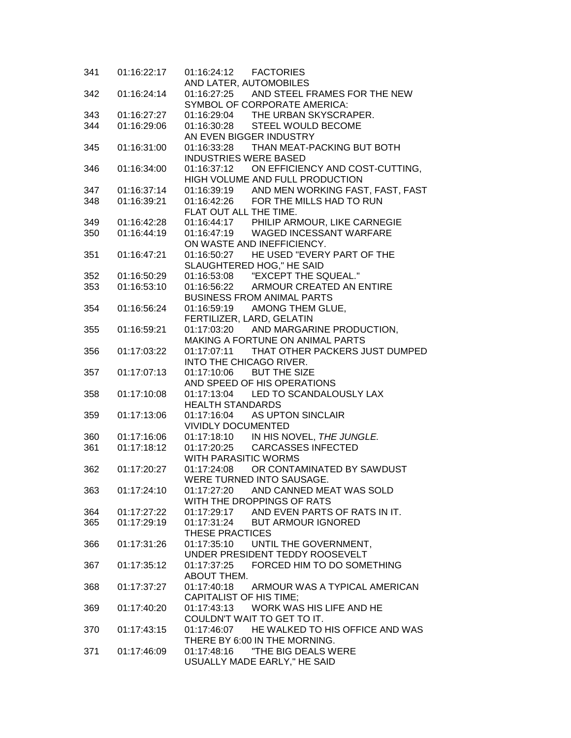| 341 | 01:16:22:17 |                                                                                      |
|-----|-------------|--------------------------------------------------------------------------------------|
|     |             | AND LATER, AUTOMOBILES                                                               |
| 342 | 01:16:24:14 | 01:16:27:25 AND STEEL FRAMES FOR THE NEW                                             |
|     |             | SYMBOL OF CORPORATE AMERICA:                                                         |
| 343 | 01:16:27:27 | 01:16:29:04 THE URBAN SKYSCRAPER.                                                    |
| 344 | 01:16:29:06 | 01:16:30:28 STEEL WOULD BECOME                                                       |
|     |             | AN EVEN BIGGER INDUSTRY                                                              |
| 345 | 01:16:31:00 | 01:16:33:28 THAN MEAT-PACKING BUT BOTH                                               |
|     |             | <b>INDUSTRIES WERE BASED</b>                                                         |
| 346 | 01:16:34:00 | 01:16:37:12 ON EFFICIENCY AND COST-CUTTING,                                          |
|     |             | HIGH VOLUME AND FULL PRODUCTION                                                      |
| 347 | 01:16:37:14 | 01:16:39:19 AND MEN WORKING FAST, FAST, FAST<br>01:16:42:26 FOR THE MILLS HAD TO RUN |
| 348 | 01:16:39:21 |                                                                                      |
|     |             | FLAT OUT ALL THE TIME.                                                               |
| 349 | 01:16:42:28 | 01:16:44:17 PHILIP ARMOUR, LIKE CARNEGIE                                             |
| 350 | 01:16:44:19 | 01:16:47:19 WAGED INCESSANT WARFARE                                                  |
|     |             | ON WASTE AND INEFFICIENCY.                                                           |
| 351 | 01:16:47:21 | 01:16:50:27 HE USED "EVERY PART OF THE                                               |
|     |             | SLAUGHTERED HOG," HE SAID                                                            |
| 352 | 01:16:50:29 | 01:16:53:08 "EXCEPT THE SQUEAL."                                                     |
| 353 | 01:16:53:10 | 01:16:56:22 ARMOUR CREATED AN ENTIRE                                                 |
|     |             | <b>BUSINESS FROM ANIMAL PARTS</b>                                                    |
| 354 | 01:16:56:24 | 01:16:59:19 AMONG THEM GLUE,                                                         |
|     |             | FERTILIZER, LARD, GELATIN                                                            |
| 355 | 01:16:59:21 | 01:17:03:20 AND MARGARINE PRODUCTION,                                                |
|     |             | MAKING A FORTUNE ON ANIMAL PARTS                                                     |
| 356 | 01:17:03:22 | 01:17:07:11 THAT OTHER PACKERS JUST DUMPED                                           |
|     |             | INTO THE CHICAGO RIVER.                                                              |
| 357 | 01:17:07:13 | 01:17:10:06 BUT THE SIZE                                                             |
|     |             | AND SPEED OF HIS OPERATIONS                                                          |
| 358 | 01:17:10:08 | 01:17:13:04 LED TO SCANDALOUSLY LAX                                                  |
|     |             | <b>HEALTH STANDARDS</b>                                                              |
| 359 | 01:17:13:06 | 01:17:16:04 AS UPTON SINCLAIR                                                        |
|     |             | <b>VIVIDLY DOCUMENTED</b>                                                            |
| 360 | 01:17:16:06 | 01:17:18:10 IN HIS NOVEL, THE JUNGLE.<br>01:17:20:25 CARCASSES INFECTED              |
| 361 | 01:17:18:12 |                                                                                      |
|     |             | WITH PARASITIC WORMS                                                                 |
| 362 | 01:17:20:27 | 01:17:24:08 OR CONTAMINATED BY SAWDUST                                               |
|     |             | WERE TURNED INTO SAUSAGE.                                                            |
| 363 | 01:17:24:10 | 01:17:27:20<br>AND CANNED MEAT WAS SOLD                                              |
|     |             | WITH THE DROPPINGS OF RATS                                                           |
| 364 | 01:17:27:22 | 01:17:29:17 AND EVEN PARTS OF RATS IN IT.                                            |
| 365 | 01:17:29:19 | 01:17:31:24 BUT ARMOUR IGNORED                                                       |
|     |             | THESE PRACTICES                                                                      |
| 366 | 01:17:31:26 | 01:17:35:10 UNTIL THE GOVERNMENT,                                                    |
|     |             | UNDER PRESIDENT TEDDY ROOSEVELT                                                      |
| 367 | 01:17:35:12 | 01:17:37:25 FORCED HIM TO DO SOMETHING                                               |
|     |             | ABOUT THEM.                                                                          |
| 368 | 01:17:37:27 | 01:17:40:18 ARMOUR WAS A TYPICAL AMERICAN                                            |
|     |             | CAPITALIST OF HIS TIME;                                                              |
| 369 | 01:17:40:20 | 01:17:43:13 WORK WAS HIS LIFE AND HE                                                 |
|     |             | COULDN'T WAIT TO GET TO IT.                                                          |
| 370 | 01:17:43:15 | 01:17:46:07 HE WALKED TO HIS OFFICE AND WAS                                          |
|     |             | THERE BY 6:00 IN THE MORNING.                                                        |
| 371 | 01:17:46:09 | "THE BIG DEALS WERE<br>01:17:48:16                                                   |
|     |             | USUALLY MADE EARLY," HE SAID                                                         |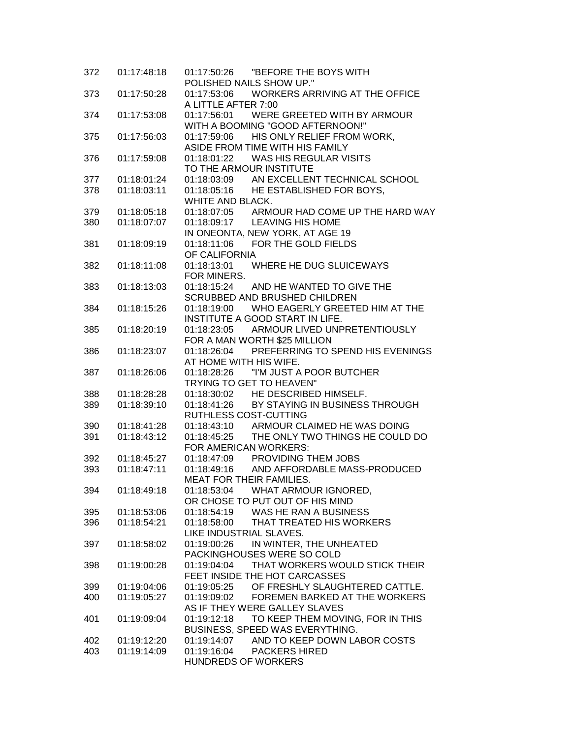| 372 | 01:17:48:18 | "BEFORE THE BOYS WITH<br>01:17:50:26<br>POLISHED NAILS SHOW UP."            |
|-----|-------------|-----------------------------------------------------------------------------|
| 373 | 01:17:50:28 | 01:17:53:06 WORKERS ARRIVING AT THE OFFICE<br>A LITTLE AFTER 7:00           |
|     | 01:17:53:08 |                                                                             |
| 374 |             | 01:17:56:01 WERE GREETED WITH BY ARMOUR                                     |
|     |             | WITH A BOOMING "GOOD AFTERNOON!"                                            |
| 375 | 01:17:56:03 | 01:17:59:06<br>HIS ONLY RELIEF FROM WORK,                                   |
|     |             | ASIDE FROM TIME WITH HIS FAMILY                                             |
| 376 | 01:17:59:08 | 01:18:01:22 WAS HIS REGULAR VISITS                                          |
|     |             | TO THE ARMOUR INSTITUTE                                                     |
| 377 | 01:18:01:24 | 01:18:03:09 AN EXCELLENT TECHNICAL SCHOOL                                   |
| 378 | 01:18:03:11 | 01:18:05:16 HE ESTABLISHED FOR BOYS,                                        |
|     |             | WHITE AND BLACK.                                                            |
| 379 | 01:18:05:18 | 01:18:07:05 ARMOUR HAD COME UP THE HARD WAY<br>01:18:09:17 LEAVING HIS HOME |
| 380 | 01:18:07:07 |                                                                             |
|     |             | IN ONEONTA, NEW YORK, AT AGE 19<br>01:18:11:06 FOR THE GOLD FIELDS          |
| 381 | 01:18:09:19 | OF CALIFORNIA                                                               |
|     |             | 01:18:13:01 WHERE HE DUG SLUICEWAYS                                         |
| 382 | 01:18:11:08 |                                                                             |
|     |             | FOR MINERS.<br>01:18:15:24                                                  |
| 383 | 01:18:13:03 | AND HE WANTED TO GIVE THE<br><b>SCRUBBED AND BRUSHED CHILDREN</b>           |
| 384 | 01:18:15:26 | WHO EAGERLY GREETED HIM AT THE<br>01:18:19:00                               |
|     |             | INSTITUTE A GOOD START IN LIFE.                                             |
| 385 | 01:18:20:19 | 01:18:23:05<br>ARMOUR LIVED UNPRETENTIOUSLY                                 |
|     |             | FOR A MAN WORTH \$25 MILLION                                                |
| 386 | 01:18:23:07 | 01:18:26:04 PREFERRING TO SPEND HIS EVENINGS                                |
|     |             | AT HOME WITH HIS WIFE.                                                      |
| 387 | 01:18:26:06 |                                                                             |
|     |             | TRYING TO GET TO HEAVEN"                                                    |
| 388 | 01:18:28:28 | 01:18:30:02 HE DESCRIBED HIMSELF.                                           |
| 389 | 01:18:39:10 | 01:18:41:26<br>BY STAYING IN BUSINESS THROUGH                               |
|     |             | RUTHLESS COST-CUTTING                                                       |
| 390 | 01:18:41:28 | 01:18:43:10 ARMOUR CLAIMED HE WAS DOING                                     |
| 391 | 01:18:43:12 | 01:18:45:25 THE ONLY TWO THINGS HE COULD DO                                 |
|     |             | FOR AMERICAN WORKERS:                                                       |
| 392 | 01:18:45:27 | 01:18:47:09 PROVIDING THEM JOBS                                             |
| 393 | 01:18:47:11 | 01:18:49:16 AND AFFORDABLE MASS-PRODUCED                                    |
|     |             | <b>MEAT FOR THEIR FAMILIES.</b>                                             |
| 394 | 01:18:49:18 | 01:18:53:04 WHAT ARMOUR IGNORED,                                            |
|     |             | OR CHOSE TO PUT OUT OF HIS MIND                                             |
| 395 | 01:18:53:06 | 01:18:54:19 WAS HE RAN A BUSINESS                                           |
| 396 | 01:18:54:21 | 01:18:58:00<br>THAT TREATED HIS WORKERS                                     |
|     |             | LIKE INDUSTRIAL SLAVES.                                                     |
| 397 | 01:18:58:02 | IN WINTER, THE UNHEATED<br>01:19:00:26                                      |
|     |             | PACKINGHOUSES WERE SO COLD                                                  |
| 398 | 01:19:00:28 | THAT WORKERS WOULD STICK THEIR<br>01:19:04:04                               |
|     |             | FEET INSIDE THE HOT CARCASSES                                               |
| 399 | 01:19:04:06 | 01:19:05:25 OF FRESHLY SLAUGHTERED CATTLE.                                  |
| 400 | 01:19:05:27 | FOREMEN BARKED AT THE WORKERS<br>01:19:09:02                                |
|     |             | AS IF THEY WERE GALLEY SLAVES                                               |
| 401 | 01:19:09:04 | 01:19:12:18 TO KEEP THEM MOVING, FOR IN THIS                                |
|     |             | BUSINESS, SPEED WAS EVERYTHING.                                             |
| 402 | 01:19:12:20 | 01:19:14:07<br>AND TO KEEP DOWN LABOR COSTS                                 |
| 403 | 01:19:14:09 | 01:19:16:04 PACKERS HIRED                                                   |
|     |             | HUNDREDS OF WORKERS                                                         |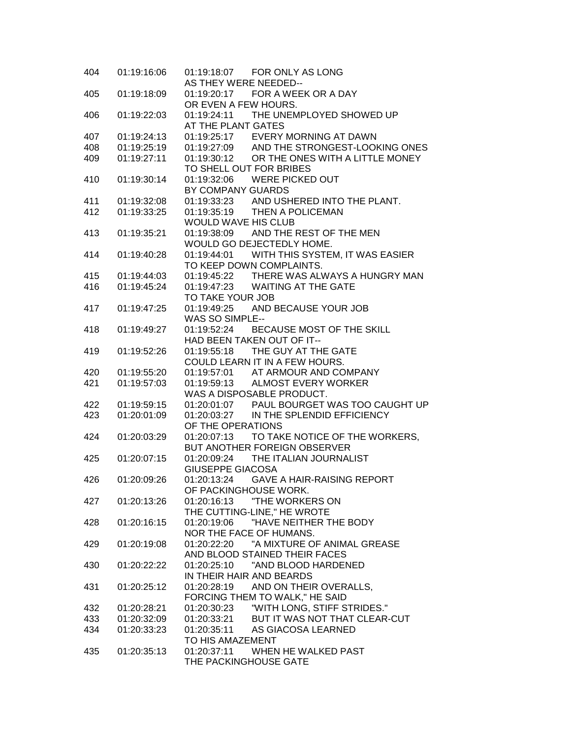| 404 | 01:19:16:06 | 01:19:18:07    FOR ONLY AS LONG<br>AS THEY WERE NEEDED--            |
|-----|-------------|---------------------------------------------------------------------|
| 405 | 01:19:18:09 | 01:19:20:17 FOR A WEEK OR A DAY                                     |
|     |             | OR EVEN A FEW HOURS.                                                |
| 406 | 01:19:22:03 | 01:19:24:11 THE UNEMPLOYED SHOWED UP<br>AT THE PLANT GATES          |
|     |             |                                                                     |
| 407 | 01:19:24:13 | 01:19:25:17 EVERY MORNING AT DAWN                                   |
| 408 | 01:19:25:19 | 01:19:27:09 AND THE STRONGEST-LOOKING ONES                          |
| 409 | 01:19:27:11 | 01:19:30:12 OR THE ONES WITH A LITTLE MONEY                         |
|     |             | TO SHELL OUT FOR BRIBES                                             |
| 410 | 01:19:30:14 | 01:19:32:06 WERE PICKED OUT                                         |
|     |             | BY COMPANY GUARDS                                                   |
| 411 | 01:19:32:08 | 01:19:33:23 AND USHERED INTO THE PLANT.                             |
| 412 | 01:19:33:25 | 01:19:35:19 THEN A POLICEMAN                                        |
|     |             | WOULD WAVE HIS CLUB                                                 |
| 413 | 01:19:35:21 | 01:19:38:09 AND THE REST OF THE MEN                                 |
|     |             | WOULD GO DEJECTEDLY HOME.                                           |
| 414 | 01:19:40:28 | 01:19:44:01 WITH THIS SYSTEM, IT WAS EASIER                         |
|     |             | TO KEEP DOWN COMPLAINTS.                                            |
| 415 | 01:19:44:03 | 01:19:45:22 THERE WAS ALWAYS A HUNGRY MAN                           |
| 416 | 01:19:45:24 | 01:19:47:23 WAITING AT THE GATE                                     |
|     |             | TO TAKE YOUR JOB                                                    |
| 417 | 01:19:47:25 | AND BECAUSE YOUR JOB<br>01:19:49:25                                 |
|     |             | <b>WAS SO SIMPLE--</b>                                              |
| 418 | 01:19:49:27 | 01:19:52:24 BECAUSE MOST OF THE SKILL                               |
|     |             | HAD BEEN TAKEN OUT OF IT--                                          |
| 419 | 01:19:52:26 | 01:19:55:18 THE GUY AT THE GATE                                     |
|     |             | COULD LEARN IT IN A FEW HOURS.<br>01:19:57:01 AT ARMOUR AND COMPANY |
| 420 | 01:19:55:20 | 01:19:59:13 ALMOST EVERY WORKER                                     |
| 421 | 01:19:57:03 | WAS A DISPOSABLE PRODUCT.                                           |
|     |             |                                                                     |
| 422 | 01:19:59:15 | 01:20:01:07 PAUL BOURGET WAS TOO CAUGHT UP                          |
| 423 | 01:20:01:09 | 01:20:03:27 IN THE SPLENDID EFFICIENCY                              |
|     |             | OF THE OPERATIONS                                                   |
| 424 | 01:20:03:29 | 01:20:07:13<br>TO TAKE NOTICE OF THE WORKERS,                       |
|     |             | BUT ANOTHER FOREIGN OBSERVER                                        |
| 425 | 01:20:07:15 | 01:20:09:24 THE ITALIAN JOURNALIST<br><b>GIUSEPPE GIACOSA</b>       |
| 426 | 01:20:09:26 | 01:20:13:24<br><b>GAVE A HAIR-RAISING REPORT</b>                    |
|     |             | OF PACKINGHOUSE WORK.                                               |
| 427 | 01:20:13:26 |                                                                     |
|     |             | THE CUTTING-LINE," HE WROTE                                         |
| 428 | 01:20:16:15 | "HAVE NEITHER THE BODY<br>01:20:19:06                               |
|     |             | NOR THE FACE OF HUMANS.                                             |
| 429 | 01:20:19:08 | 01:20:22:20 "A MIXTURE OF ANIMAL GREASE                             |
|     |             | AND BLOOD STAINED THEIR FACES                                       |
| 430 | 01:20:22:22 | 01:20:25:10 "AND BLOOD HARDENED                                     |
|     |             | IN THEIR HAIR AND BEARDS                                            |
| 431 | 01:20:25:12 | 01:20:28:19 AND ON THEIR OVERALLS,                                  |
|     |             | FORCING THEM TO WALK," HE SAID                                      |
| 432 | 01:20:28:21 |                                                                     |
| 433 | 01:20:32:09 |                                                                     |
| 434 | 01:20:33:23 |                                                                     |
|     |             | TO HIS AMAZEMENT                                                    |
| 435 | 01:20:35:13 | 01:20:37:11 WHEN HE WALKED PAST                                     |
|     |             | THE PACKINGHOUSE GATE                                               |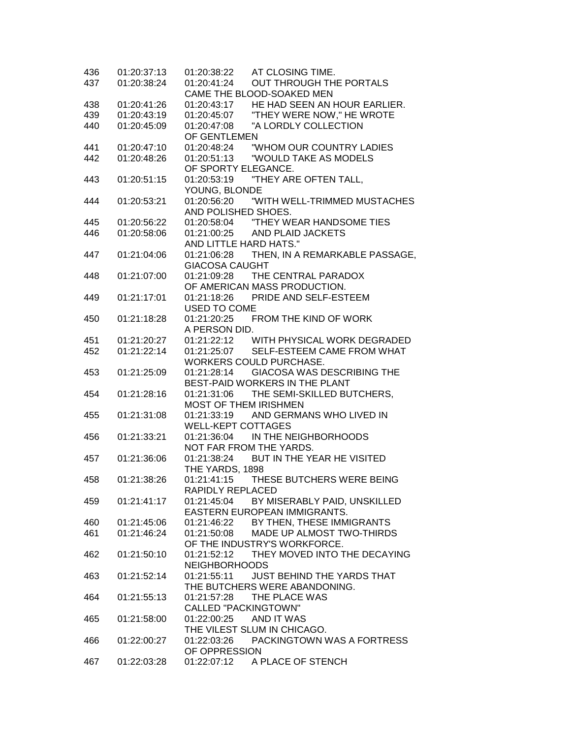| 436 | 01:20:37:13 | AT CLOSING TIME.<br>01:20:38:22                  |
|-----|-------------|--------------------------------------------------|
| 437 | 01:20:38:24 | 01:20:41:24<br>OUT THROUGH THE PORTALS           |
|     |             | CAME THE BLOOD-SOAKED MEN                        |
| 438 | 01:20:41:26 | HE HAD SEEN AN HOUR EARLIER.<br>01:20:43:17      |
| 439 | 01:20:43:19 | "THEY WERE NOW," HE WROTE<br>01:20:45:07         |
| 440 | 01:20:45:09 | "A LORDLY COLLECTION<br>01:20:47:08              |
|     |             | OF GENTLEMEN                                     |
| 441 | 01:20:47:10 | "WHOM OUR COUNTRY LADIES<br>01:20:48:24          |
| 442 | 01:20:48:26 | 01:20:51:13<br>"WOULD TAKE AS MODELS             |
|     |             | OF SPORTY ELEGANCE.                              |
| 443 | 01:20:51:15 |                                                  |
|     |             | YOUNG, BLONDE                                    |
| 444 | 01:20:53:21 |                                                  |
|     |             | AND POLISHED SHOES.                              |
| 445 | 01:20:56:22 |                                                  |
|     |             | 01:21:00:25<br>AND PLAID JACKETS                 |
| 446 | 01:20:58:06 |                                                  |
|     |             | AND LITTLE HARD HATS."                           |
| 447 | 01:21:04:06 | THEN, IN A REMARKABLE PASSAGE,<br>01:21:06:28    |
|     |             | <b>GIACOSA CAUGHT</b>                            |
| 448 | 01:21:07:00 | 01:21:09:28<br>THE CENTRAL PARADOX               |
|     |             | OF AMERICAN MASS PRODUCTION.                     |
| 449 | 01:21:17:01 | 01:21:18:26 PRIDE AND SELF-ESTEEM                |
|     |             | USED TO COME                                     |
| 450 | 01:21:18:28 | 01:21:20:25 FROM THE KIND OF WORK                |
|     |             | A PERSON DID.                                    |
| 451 | 01:21:20:27 | 01:21:22:12 WITH PHYSICAL WORK DEGRADED          |
| 452 | 01:21:22:14 | 01:21:25:07<br>SELF-ESTEEM CAME FROM WHAT        |
|     |             | WORKERS COULD PURCHASE.                          |
| 453 | 01:21:25:09 | <b>GIACOSA WAS DESCRIBING THE</b><br>01:21:28:14 |
|     |             | BEST-PAID WORKERS IN THE PLANT                   |
| 454 | 01:21:28:16 | 01:21:31:06<br>THE SEMI-SKILLED BUTCHERS,        |
|     |             | MOST OF THEM IRISHMEN                            |
| 455 | 01:21:31:08 | AND GERMANS WHO LIVED IN<br>01:21:33:19          |
|     |             | <b>WELL-KEPT COTTAGES</b>                        |
| 456 | 01:21:33:21 | 01:21:36:04<br>IN THE NEIGHBORHOODS              |
|     |             | NOT FAR FROM THE YARDS.                          |
| 457 | 01:21:36:06 | 01:21:38:24 BUT IN THE YEAR HE VISITED           |
|     |             | THE YARDS, 1898                                  |
| 458 | 01:21:38:26 | THESE BUTCHERS WERE BEING<br>01:21:41:15         |
|     |             | RAPIDLY REPLACED                                 |
| 459 | 01:21:41:17 | 01:21:45:04<br>BY MISERABLY PAID, UNSKILLED      |
|     |             | EASTERN EUROPEAN IMMIGRANTS.                     |
|     |             |                                                  |
| 460 | 01:21:45:06 | 01:21:46:22<br>BY THEN, THESE IMMIGRANTS         |
| 461 | 01:21:46:24 | 01:21:50:08<br>MADE UP ALMOST TWO-THIRDS         |
|     |             | OF THE INDUSTRY'S WORKFORCE.                     |
| 462 | 01:21:50:10 | THEY MOVED INTO THE DECAYING<br>01:21:52:12      |
|     |             | <b>NEIGHBORHOODS</b>                             |
| 463 | 01:21:52:14 | 01:21:55:11<br><b>JUST BEHIND THE YARDS THAT</b> |
|     |             | THE BUTCHERS WERE ABANDONING.                    |
| 464 | 01:21:55:13 | 01:21:57:28<br>THE PLACE WAS                     |
|     |             | <b>CALLED "PACKINGTOWN"</b>                      |
| 465 | 01:21:58:00 | 01:22:00:25<br>AND IT WAS                        |
|     |             | THE VILEST SLUM IN CHICAGO.                      |
| 466 | 01:22:00:27 | PACKINGTOWN WAS A FORTRESS<br>01:22:03:26        |
|     |             | OF OPPRESSION                                    |
| 467 | 01:22:03:28 | 01:22:07:12<br>A PLACE OF STENCH                 |
|     |             |                                                  |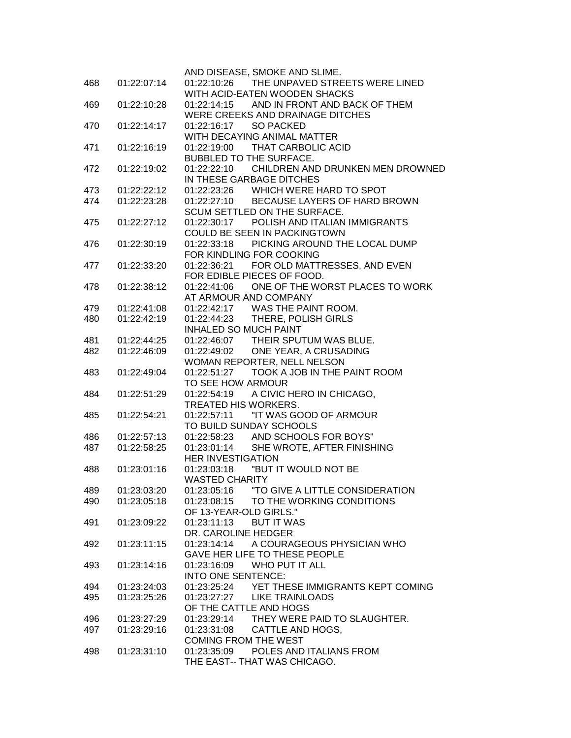|            |             | AND DISEASE, SMOKE AND SLIME.                                      |
|------------|-------------|--------------------------------------------------------------------|
| 468        | 01:22:07:14 | 01:22:10:26 THE UNPAVED STREETS WERE LINED                         |
|            |             | WITH ACID-EATEN WOODEN SHACKS                                      |
| 469        | 01:22:10:28 | 01:22:14:15 AND IN FRONT AND BACK OF THEM                          |
|            |             | WERE CREEKS AND DRAINAGE DITCHES                                   |
| 470        | 01:22:14:17 | 01:22:16:17 SO PACKED                                              |
|            |             | WITH DECAYING ANIMAL MATTER                                        |
| 471        | 01:22:16:19 | 01:22:19:00 THAT CARBOLIC ACID                                     |
|            |             | BUBBLED TO THE SURFACE.                                            |
| 472        | 01:22:19:02 | 01:22:22:10 CHILDREN AND DRUNKEN MEN DROWNED                       |
|            | 01:22:22:12 | IN THESE GARBAGE DITCHES<br>01:22:23:26 WHICH WERE HARD TO SPOT    |
| 473<br>474 | 01:22:23:28 | 01:22:27:10 BECAUSE LAYERS OF HARD BROWN                           |
|            |             | SCUM SETTLED ON THE SURFACE.                                       |
| 475        | 01:22:27:12 | 01:22:30:17 POLISH AND ITALIAN IMMIGRANTS                          |
|            |             | COULD BE SEEN IN PACKINGTOWN                                       |
| 476        | 01:22:30:19 | 01:22:33:18 PICKING AROUND THE LOCAL DUMP                          |
|            |             | FOR KINDLING FOR COOKING                                           |
| 477        | 01:22:33:20 | 01:22:36:21 FOR OLD MATTRESSES, AND EVEN                           |
|            |             | FOR EDIBLE PIECES OF FOOD.                                         |
| 478        | 01:22:38:12 | ONE OF THE WORST PLACES TO WORK<br>01:22:41:06                     |
|            |             | AT ARMOUR AND COMPANY                                              |
| 479        | 01:22:41:08 | 01:22:42:17 WAS THE PAINT ROOM.<br>01:22:44:23 THERE, POLISH GIRLS |
| 480        | 01:22:42:19 | <b>INHALED SO MUCH PAINT</b>                                       |
| 481        | 01:22:44:25 | 01:22:46:07 THEIR SPUTUM WAS BLUE.                                 |
| 482        | 01:22:46:09 | 01:22:49:02 ONE YEAR, A CRUSADING                                  |
|            |             | WOMAN REPORTER, NELL NELSON                                        |
| 483        | 01:22:49:04 | TOOK A JOB IN THE PAINT ROOM<br>01:22:51:27                        |
|            |             | TO SEE HOW ARMOUR                                                  |
| 484        | 01:22:51:29 | 01:22:54:19 A CIVIC HERO IN CHICAGO,                               |
|            |             | TREATED HIS WORKERS.                                               |
| 485        | 01:22:54:21 | "IT WAS GOOD OF ARMOUR<br>01:22:57:11                              |
|            |             | TO BUILD SUNDAY SCHOOLS                                            |
| 486        | 01:22:57:13 | 01:22:58:23 AND SCHOOLS FOR BOYS"                                  |
| 487        | 01:22:58:25 | 01:23:01:14 SHE WROTE, AFTER FINISHING                             |
|            |             | <b>HER INVESTIGATION</b>                                           |
| 488        | 01:23:01:16 |                                                                    |
|            |             | <b>WASTED CHARITY</b>                                              |
| 489        | 01:23:03:20 |                                                                    |
| 490        | 01:23:05:18 | TO THE WORKING CONDITIONS<br>01:23:08:15<br>OF 13-YEAR-OLD GIRLS." |
| 491        | 01:23:09:22 | <b>BUT IT WAS</b><br>01:23:11:13                                   |
|            |             | DR. CAROLINE HEDGER                                                |
| 492        | 01:23:11:15 | 01:23:14:14 A COURAGEOUS PHYSICIAN WHO                             |
|            |             | GAVE HER LIFE TO THESE PEOPLE                                      |
| 493        | 01:23:14:16 | 01:23:16:09<br><b>WHO PUT IT ALL</b>                               |
|            |             | INTO ONE SENTENCE:                                                 |
| 494        | 01:23:24:03 | 01:23:25:24 YET THESE IMMIGRANTS KEPT COMING                       |
| 495        | 01:23:25:26 | 01:23:27:27 LIKE TRAINLOADS                                        |
|            |             | OF THE CATTLE AND HOGS                                             |
| 496        | 01:23:27:29 | THEY WERE PAID TO SLAUGHTER.<br>01:23:29:14                        |
| 497        | 01:23:29:16 | 01:23:31:08 CATTLE AND HOGS,                                       |
|            |             | <b>COMING FROM THE WEST</b>                                        |
| 498        | 01:23:31:10 | 01:23:35:09<br>POLES AND ITALIANS FROM                             |
|            |             | THE EAST-- THAT WAS CHICAGO.                                       |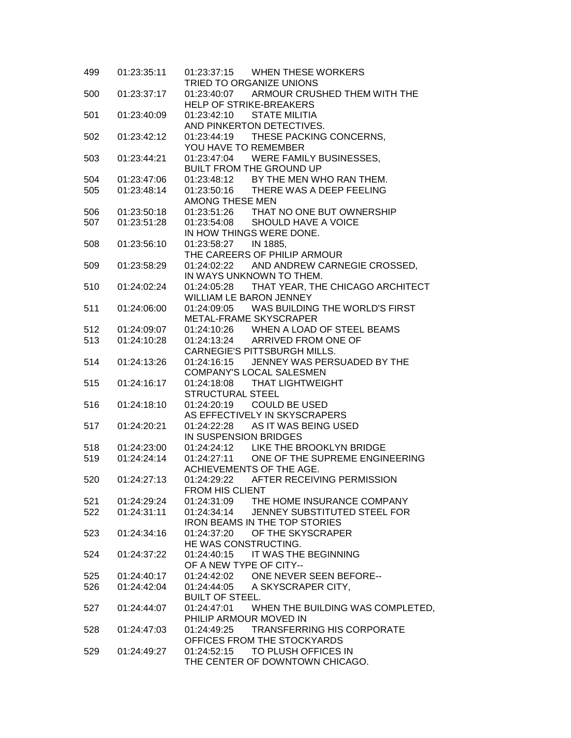| 499 | 01:23:35:11 | 01:23:37:15 WHEN THESE WORKERS<br>TRIED TO ORGANIZE UNIONS                         |
|-----|-------------|------------------------------------------------------------------------------------|
| 500 | 01:23:37:17 | 01:23:40:07 ARMOUR CRUSHED THEM WITH THE                                           |
|     |             | <b>HELP OF STRIKE-BREAKERS</b>                                                     |
| 501 | 01:23:40:09 | 01:23:42:10<br><b>STATE MILITIA</b>                                                |
|     |             | AND PINKERTON DETECTIVES.                                                          |
| 502 | 01:23:42:12 | 01:23:44:19 THESE PACKING CONCERNS,                                                |
|     |             | YOU HAVE TO REMEMBER                                                               |
| 503 | 01:23:44:21 | 01:23:47:04 WERE FAMILY BUSINESSES,                                                |
|     |             | <b>BUILT FROM THE GROUND UP</b>                                                    |
| 504 | 01:23:47:06 |                                                                                    |
| 505 | 01:23:48:14 | 01:23:48:12 BY THE MEN WHO RAN THEM.<br>01:23:50:16 THERE WAS A DEEP FEELING       |
|     |             | AMONG THESE MEN                                                                    |
| 506 | 01:23:50:18 | 01:23:51:26 THAT NO ONE BUT OWNERSHIP                                              |
| 507 | 01:23:51:28 | 01:23:54:08 SHOULD HAVE A VOICE                                                    |
|     |             | IN HOW THINGS WERE DONE.                                                           |
| 508 | 01:23:56:10 | 01:23:58:27 IN 1885,                                                               |
|     |             | THE CAREERS OF PHILIP ARMOUR                                                       |
| 509 | 01:23:58:29 | 01:24:02:22 AND ANDREW CARNEGIE CROSSED,                                           |
|     |             | IN WAYS UNKNOWN TO THEM.                                                           |
| 510 | 01:24:02:24 | THAT YEAR, THE CHICAGO ARCHITECT<br>01:24:05:28                                    |
|     |             | <b>WILLIAM LE BARON JENNEY</b>                                                     |
| 511 | 01:24:06:00 | 01:24:09:05 WAS BUILDING THE WORLD'S FIRST                                         |
|     |             | METAL-FRAME SKYSCRAPER                                                             |
| 512 | 01:24:09:07 | 01:24:10:26 WHEN A LOAD OF STEEL BEAMS                                             |
| 513 | 01:24:10:28 | 01:24:13:24 ARRIVED FROM ONE OF                                                    |
|     |             | CARNEGIE'S PITTSBURGH MILLS.                                                       |
|     | 01:24:13:26 | JENNEY WAS PERSUADED BY THE<br>01:24:16:15                                         |
| 514 |             | COMPANY'S LOCAL SALESMEN                                                           |
| 515 | 01:24:16:17 | 01:24:18:08 THAT LIGHTWEIGHT                                                       |
|     |             | <b>STRUCTURAL STEEL</b>                                                            |
|     |             | 01:24:20:19                                                                        |
| 516 | 01:24:18:10 | <b>COULD BE USED</b><br>AS EFFECTIVELY IN SKYSCRAPERS                              |
| 517 | 01:24:20:21 | 01:24:22:28<br>AS IT WAS BEING USED                                                |
|     |             |                                                                                    |
|     |             | IN SUSPENSION BRIDGES                                                              |
| 518 | 01:24:23:00 | 01:24:24:12 LIKE THE BROOKLYN BRIDGE<br>01:24:27:11 ONE OF THE SUPREME ENGINEERING |
| 519 | 01:24:24:14 |                                                                                    |
|     |             | ACHIEVEMENTS OF THE AGE.                                                           |
| 520 | 01:24:27:13 | 01:24:29:22 AFTER RECEIVING PERMISSION                                             |
|     |             | FROM HIS CLIENT                                                                    |
| 521 | 01:24:29:24 | 01:24:31:09 THE HOME INSURANCE COMPANY                                             |
| 522 | 01:24:31:11 | 01:24:34:14<br>JENNEY SUBSTITUTED STEEL FOR                                        |
|     |             | <b>IRON BEAMS IN THE TOP STORIES</b>                                               |
| 523 | 01:24:34:16 | OF THE SKYSCRAPER<br>01:24:37:20                                                   |
|     |             | HE WAS CONSTRUCTING.                                                               |
| 524 | 01:24:37:22 | 01:24:40:15 IT WAS THE BEGINNING                                                   |
|     |             | OF A NEW TYPE OF CITY--                                                            |
| 525 | 01:24:40:17 | 01:24:42:02 ONE NEVER SEEN BEFORE--                                                |
| 526 | 01:24:42:04 | 01:24:44:05 A SKYSCRAPER CITY,                                                     |
|     |             | <b>BUILT OF STEEL.</b>                                                             |
| 527 | 01:24:44:07 | 01:24:47:01 WHEN THE BUILDING WAS COMPLETED,                                       |
|     |             | PHILIP ARMOUR MOVED IN                                                             |
| 528 | 01:24:47:03 | <b>TRANSFERRING HIS CORPORATE</b><br>01:24:49:25                                   |
|     |             | OFFICES FROM THE STOCKYARDS                                                        |
| 529 | 01:24:49:27 | 01:24:52:15 TO PLUSH OFFICES IN                                                    |
|     |             | THE CENTER OF DOWNTOWN CHICAGO.                                                    |